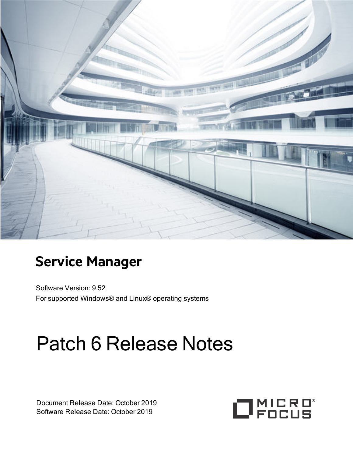

# **Service Manager**

Software Version: 9.52 For supported Windows® and Linux® operating systems

# Patch 6 Release Notes

Document Release Date: October 2019 Software Release Date: October 2019

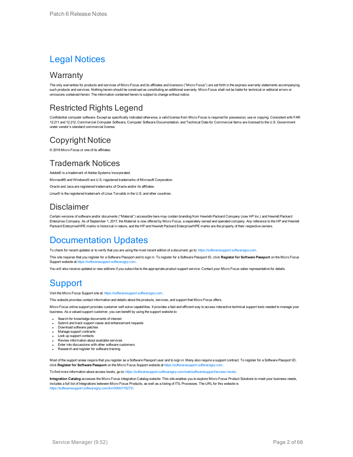### Legal Notices

### **Warranty**

The only warranties for products and services of Micro Focus and its affiliates and licensors ("Micro Focus") are set forth in the express warranty statements accompanying such products and services. Nothing herein should be construed as constituting an additional warranty. Micro Focus shall not be liable for technical or editorial errors or omissions contained herein. The information contained herein is subject to change without notice.

### Restricted Rights Legend

Confidential computer software. Except as specifically indicated otherwise, a valid license from Micro Focus is required for possession, use or copying. Consistent with FAR 12.211 and 12.212, Commercial Computer Software, Computer Software Documentation, and Technical Data for Commercial Items are licensed to the U.S. Government under vendor's standard commercial license.

### Copyright Notice

© 2019 Micro Focus or one of its affiliates.

### Trademark Notices

Adobe® is a trademark of Adobe Systems Incorporated.

Microsoft® and Windows® are U.S. registered trademarks of Microsoft Corporation.

Oracle and Java are registered trademarks of Oracle and/or its affiliates.

Linux® is the registered trademark of Linus Torvalds in the U.S. and other countries.

### Disclaimer

Certain versions of software and/or documents ("Material") accessible here may contain branding from Hewlett-Packard Company (now HP Inc.) and Hewlett Packard Enterprise Company. As of September 1, 2017, the Material is now offered by Micro Focus, a separately owned and operated company. Any reference to the HP and Hewlett Packard Enterprise/HPE marks is historical in nature, and the HP and Hewlett Packard Enterprise/HPE marks are the property of their respective owners.

### Documentation Updates

To check for recent updates or to verify that you are using the most recent edition of a document, go to:  [https://softwaresupport.softwaregrp.com.](https://softwaresupport.softwaregrp.com/)

This site requires that you register for a Software Passport and to sign in. To register for a Software Passport ID, click **Register for Software Passport** on the Micro Focus Support website at https://softwaresupport.soft

You will also receive updated or new editions if you subscribe to the appropriate product support service. Contact your Micro Focus sales representative for details.

### **Support**

#### Visit the Micro Focus Support site at: [https://softwaresupport.softwaregrp.com](https://softwaresupport.softwaregrp.com/).

This website provides contact information and details about the products, services, and support that Micro Focus offers.

Micro Focus online support provides customer self-solve capabilities. It provides a fast and efficient way to access interactive technical support tools needed to manage your business. As a valued support customer, you can benefit by using the support website to:

- **.** Search for knowledge documents of interest
- Submit and track support cases and enhancement requests
- Download software patches
- Manage support contracts
- Look up support contacts
- Review information about available services
- Enter into discussions with other software customers
- Research and register for software training

Most of the support areas require that you register as a Software Passport user and to sign in. Many also require a support contract. To register for a Software Passport ID, click **Register for Software Passport** on the Micro Focus Support website at [https://softwaresupport.softwaregrp.com](https://softwaresupport.softwaregrp.com/).

To find more information about access levels, go to: [https://softwaresupport.softwaregrp.com/web/softwaresupport/access-levels.](https://softwaresupport.softwaregrp.com/web/softwaresupport/access-levels)

**Integration Catalog** accesses the Micro Focus Integration Catalog website. This site enables you to explore Micro Focus Product Solutions to meet your business needs, includes a full list of Integrations between Micro Focus Products, as well as a listing of ITIL Processes. The URL for this website is [https://softwaresupport.softwaregrp.com/km/KM01702731.](https://softwaresupport.softwaregrp.com/km/KM01702731)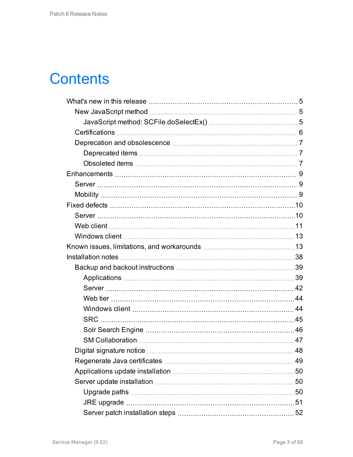# **Contents**

| .49 |
|-----|
|     |
|     |
|     |
|     |
|     |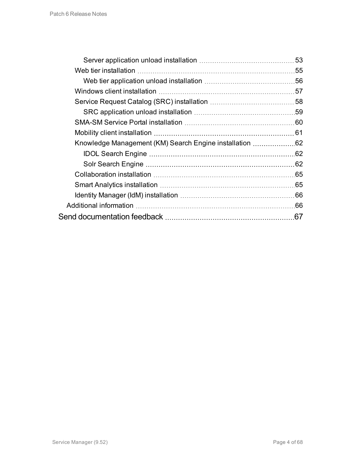|                                                         | 53  |
|---------------------------------------------------------|-----|
|                                                         |     |
|                                                         |     |
|                                                         |     |
|                                                         |     |
|                                                         |     |
|                                                         |     |
|                                                         | 61  |
| Knowledge Management (KM) Search Engine installation 62 |     |
|                                                         |     |
|                                                         | .62 |
|                                                         |     |
|                                                         |     |
|                                                         | 66  |
|                                                         | .66 |
|                                                         | 67  |
|                                                         |     |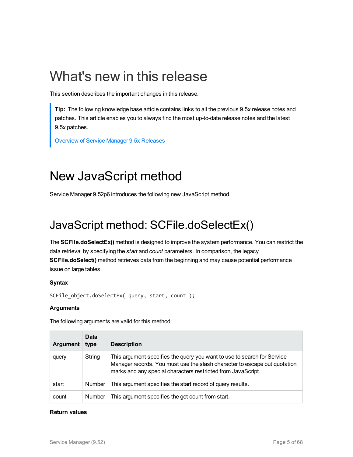# <span id="page-4-0"></span>What's new in this release

This section describes the important changes in this release.

**Tip:** The following knowledge base article contains links to all the previous 9.5*x* release notes and patches. This article enables you to always find the most up-to-date release notes and the latest 9.5*x* patches.

<span id="page-4-1"></span>[Overview](https://softwaresupport.softwaregrp.com/km/KM02688311) of Service Manager 9.5x Releases

## New JavaScript method

<span id="page-4-2"></span>Service Manager 9.52p6 introduces the following new JavaScript method.

### JavaScript method: SCFile.doSelectEx()

The **SCFile.doSelectEx()** method is designed to improve the system performance. You can restrict the data retrieval by specifying the *start* and *count* parameters. In comparison, the legacy **SCFile.doSelect()** method retrieves data from the beginning and may cause potential performance issue on large tables.

#### **Syntax**

```
SCFile object.doSelectEx( query, start, count );
```
#### **Arguments**

The following arguments are valid for this method:

| <b>Argument</b> | Data<br>type  | <b>Description</b>                                                                                                                                                                                                   |
|-----------------|---------------|----------------------------------------------------------------------------------------------------------------------------------------------------------------------------------------------------------------------|
| query           | String        | This argument specifies the query you want to use to search for Service<br>Manager records. You must use the slash character to escape out quotation<br>marks and any special characters restricted from JavaScript. |
| start           | <b>Number</b> | This argument specifies the start record of query results.                                                                                                                                                           |
| count           | <b>Number</b> | This argument specifies the get count from start.                                                                                                                                                                    |

#### **Return values**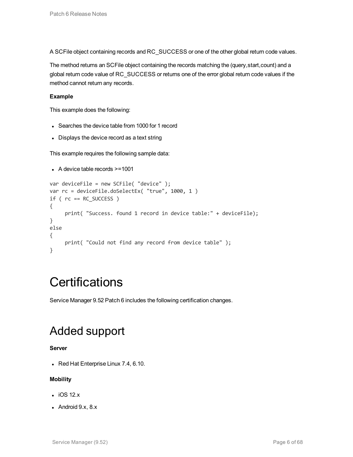A SCFile object containing records and RC\_SUCCESS or one of the other global return code values.

The method returns an SCFile object containing the records matching the (query,start,count) and a global return code value of RC\_SUCCESS or returns one of the error global return code values if the method cannot return any records.

#### **Example**

This example does the following:

- Searches the device table from 1000 for 1 record
- Displays the device record as a text string

This example requires the following sample data:

```
\bullet A device table records >=1001
```

```
var deviceFile = new SCFile( "device" );
var rc = deviceFile.doSelectEx( "true", 1000, 1 )
if ( rc == RC SUCCES ){
     print( "Success. found 1 record in device table:" + deviceFile);
}
else
{
     print( "Could not find any record from device table" );
}
```
### <span id="page-5-0"></span>**Certifications**

Service Manager 9.52 Patch 6 includes the following certification changes.

### Added support

#### **Server**

 $\bullet$  Red Hat Enterprise Linux 7.4, 6.10.

#### **Mobility**

- $\cdot$  iOS 12. $x$
- Android  $9.x$ ,  $8.x$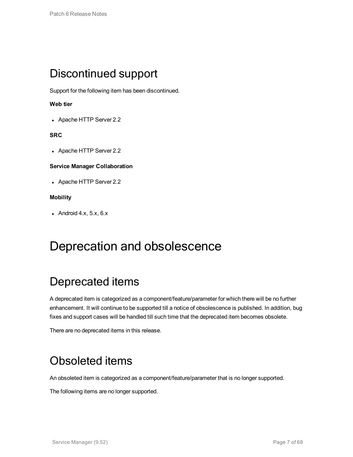### Discontinued support

Support for the following item has been discontinued.

#### **Web tier**

• Apache HTTP Server 2.2

#### **SRC**

• Apache HTTP Server 2.2

#### **Service Manager Collaboration**

• Apache HTTP Server 2.2

#### **Mobility**

<span id="page-6-0"></span>- Android 4.x,  $5.x$ ,  $6.x$ 

### <span id="page-6-1"></span>Deprecation and obsolescence

### Deprecated items

A deprecated item is categorized as a component/feature/parameter for which there will be no further enhancement. It will continue to be supported till a notice of obsolescence is published. In addition, bug fixes and support cases will be handled till such time that the deprecated item becomes obsolete.

<span id="page-6-2"></span>There are no deprecated items in this release.

### Obsoleted items

An obsoleted item is categorized as a component/feature/parameter that is no longer supported.

The following items are no longer supported.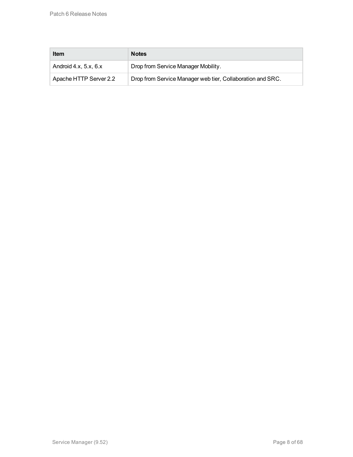| <b>Item</b>                   | <b>Notes</b>                                               |
|-------------------------------|------------------------------------------------------------|
| Android $4.x$ , $5.x$ , $6.x$ | Drop from Service Manager Mobility.                        |
| Apache HTTP Server 2.2        | Drop from Service Manager web tier, Collaboration and SRC. |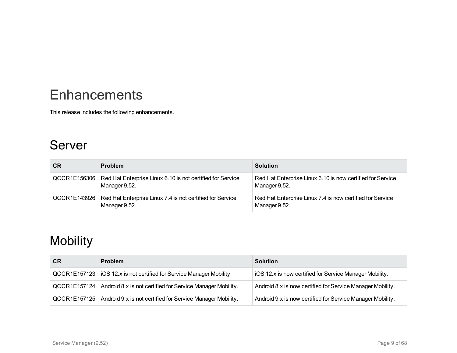# <span id="page-8-0"></span>**Enhancements**

<span id="page-8-1"></span>This release includes the following enhancements.

### Server

| <b>CR</b>    | <b>Problem</b>                                                                            | <b>Solution</b>                                                             |
|--------------|-------------------------------------------------------------------------------------------|-----------------------------------------------------------------------------|
| QCCR1E156306 | Red Hat Enterprise Linux 6.10 is not certified for Service<br>Manager 9.52.               | Red Hat Enterprise Linux 6.10 is now certified for Service<br>Manager 9.52. |
|              | QCCR1E143926   Red Hat Enterprise Linux 7.4 is not certified for Service<br>Manager 9.52. | Red Hat Enterprise Linux 7.4 is now certified for Service<br>Manager 9.52.  |

## <span id="page-8-2"></span>**Mobility**

| <b>CR</b> | <b>Problem</b>                                                            | <b>Solution</b>                                            |
|-----------|---------------------------------------------------------------------------|------------------------------------------------------------|
|           | QCCR1E157123   iOS 12.x is not certified for Service Manager Mobility.    | iOS 12.x is now certified for Service Manager Mobility.    |
|           | QCCR1E157124   Android 8.x is not certified for Service Manager Mobility. | Android 8.x is now certified for Service Manager Mobility. |
|           | QCCR1E157125   Android 9.x is not certified for Service Manager Mobility. | Android 9.x is now certified for Service Manager Mobility. |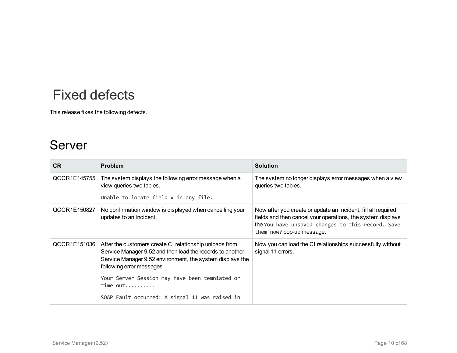# <span id="page-9-0"></span>Fixed defects

<span id="page-9-1"></span>This release fixes the following defects.

### Server

| <b>CR</b>    | <b>Problem</b>                                                                                                                                                                                                | <b>Solution</b>                                                                                                                                                                                                |
|--------------|---------------------------------------------------------------------------------------------------------------------------------------------------------------------------------------------------------------|----------------------------------------------------------------------------------------------------------------------------------------------------------------------------------------------------------------|
| QCCR1E145755 | The system displays the following error message when a<br>view queries two tables.<br>Unable to locate field x in any file.                                                                                   | The system no longer displays error messages when a view<br>queries two tables.                                                                                                                                |
|              |                                                                                                                                                                                                               |                                                                                                                                                                                                                |
| QCCR1E150827 | No confirmation window is displayed when cancelling your<br>updates to an Incident.                                                                                                                           | Now after you create or update an Incident, fill all required<br>fields and then cancel your operations, the system displays<br>the You have unsaved changes to this record. Save<br>them now? pop-up message. |
| QCCR1E151036 | After the customers create CI relationship unloads from<br>Service Manager 9.52 and then load the records to another<br>Service Manager 9.52 environment, the system displays the<br>following error messages | Now you can load the CI relationships successfully without<br>signal 11 errors.                                                                                                                                |
|              | Your Server Session may have been temniated or<br>time out                                                                                                                                                    |                                                                                                                                                                                                                |
|              | SOAP Fault occurred: A signal 11 was raised in                                                                                                                                                                |                                                                                                                                                                                                                |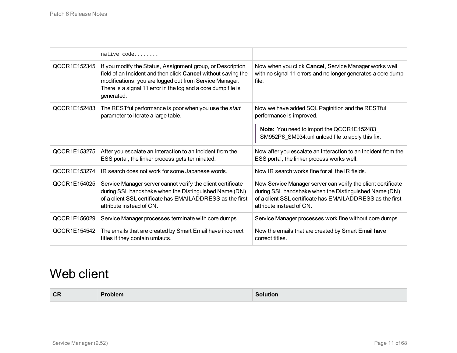|              | native code                                                                                                                                                                                                                                                           |                                                                                                                                                                                                                |
|--------------|-----------------------------------------------------------------------------------------------------------------------------------------------------------------------------------------------------------------------------------------------------------------------|----------------------------------------------------------------------------------------------------------------------------------------------------------------------------------------------------------------|
| QCCR1E152345 | If you modify the Status, Assignment group, or Description<br>field of an Incident and then click Cancel without saving the<br>modifications, you are logged out from Service Manager.<br>There is a signal 11 error in the log and a core dump file is<br>generated. | Now when you click Cancel, Service Manager works well<br>with no signal 11 errors and no longer generates a core dump<br>file.                                                                                 |
| QCCR1E152483 | The RESTful performance is poor when you use the start<br>parameter to iterate a large table.                                                                                                                                                                         | Now we have added SQL Paginition and the RESTful<br>performance is improved.<br>Note: You need to import the QCCR1E152483<br>SM952P6_SM934.unl unload file to apply this fix.                                  |
| QCCR1E153275 | After you escalate an Interaction to an Incident from the<br>ESS portal, the linker process gets terminated.                                                                                                                                                          | Now after you escalate an Interaction to an Incident from the<br>ESS portal, the linker process works well.                                                                                                    |
| QCCR1E153274 | IR search does not work for some Japanese words.                                                                                                                                                                                                                      | Now IR search works fine for all the IR fields.                                                                                                                                                                |
| QCCR1E154025 | Service Manager server cannot verify the client certificate<br>during SSL handshake when the Distinguished Name (DN)<br>of a client SSL certificate has EMAILADDRESS as the first<br>attribute instead of CN.                                                         | Now Service Manager server can verify the client certificate<br>during SSL handshake when the Distinguished Name (DN)<br>of a client SSL certificate has EMAILADDRESS as the first<br>attribute instead of CN. |
| QCCR1E156029 | Service Manager processes terminate with core dumps.                                                                                                                                                                                                                  | Service Manager processes work fine without core dumps.                                                                                                                                                        |
| QCCR1E154542 | The emails that are created by Smart Email have incorrect<br>titles if they contain umlauts.                                                                                                                                                                          | Now the emails that are created by Smart Email have<br>correct titles.                                                                                                                                         |

### <span id="page-10-0"></span>Web client

| <b>CR</b> | Problem | <b>Solution</b> |
|-----------|---------|-----------------|
|           |         |                 |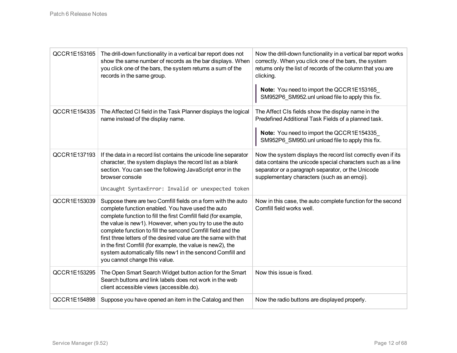| QCCR1E153165 | The drill-down functionality in a vertical bar report does not<br>show the same number of records as the bar displays. When<br>you click one of the bars, the system returns a sum of the<br>records in the same group.                                                                                                                                                                                                                                                                                                                          | Now the drill-down functionality in a vertical bar report works<br>correctly. When you click one of the bars, the system<br>returns only the list of records of the column that you are<br>clicking.<br>Note: You need to import the QCCR1E153165<br>SM952P6_SM952.unl unload file to apply this fix. |
|--------------|--------------------------------------------------------------------------------------------------------------------------------------------------------------------------------------------------------------------------------------------------------------------------------------------------------------------------------------------------------------------------------------------------------------------------------------------------------------------------------------------------------------------------------------------------|-------------------------------------------------------------------------------------------------------------------------------------------------------------------------------------------------------------------------------------------------------------------------------------------------------|
| QCCR1E154335 | The Affected CI field in the Task Planner displays the logical<br>name instead of the display name.                                                                                                                                                                                                                                                                                                                                                                                                                                              | The Affect CIs fields show the display name in the<br>Predefined Additional Task Fields of a planned task.<br>Note: You need to import the QCCR1E154335<br>SM952P6 SM950.unl unload file to apply this fix.                                                                                           |
| QCCR1E137193 | If the data in a record list contains the unicode line separator<br>character, the system displays the record list as a blank<br>section. You can see the following JavaScript error in the<br>browser console<br>Uncaught SyntaxError: Invalid or unexpected token                                                                                                                                                                                                                                                                              | Now the system displays the record list correctly even if its<br>data contains the unicode special characters such as a line<br>separator or a paragraph separator, or the Unicode<br>supplementary characters (such as an emoji).                                                                    |
| QCCR1E153039 | Suppose there are two Comfill fields on a form with the auto<br>complete function enabled. You have used the auto<br>complete function to fill the first Comfill field (for example,<br>the value is new1). However, when you try to use the auto<br>complete function to fill the sencond Comfill field and the<br>first three letters of the desired value are the same with that<br>in the first Comfill (for example, the value is new2), the<br>system automatically fills new1 in the sencond Comfill and<br>you cannot change this value. | Now in this case, the auto complete function for the second<br>Comfill field works well.                                                                                                                                                                                                              |
| QCCR1E153295 | The Open Smart Search Widget button action for the Smart<br>Search buttons and link labels does not work in the web<br>client accessible views (accessible.do).                                                                                                                                                                                                                                                                                                                                                                                  | Now this issue is fixed.                                                                                                                                                                                                                                                                              |
| QCCR1E154898 | Suppose you have opened an item in the Catalog and then                                                                                                                                                                                                                                                                                                                                                                                                                                                                                          | Now the radio buttons are displayed properly.                                                                                                                                                                                                                                                         |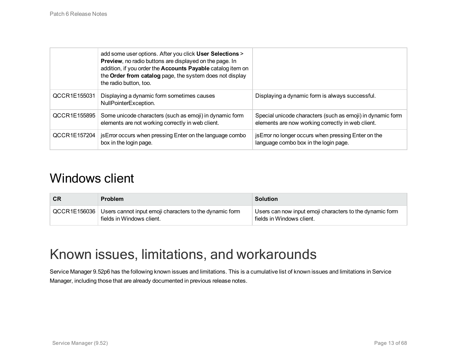|              | add some user options. After you click User Selections ><br>Preview, no radio buttons are displayed on the page. In<br>addition, if you order the Accounts Payable catalog item on<br>the Order from catalog page, the system does not display<br>the radio button, too. |                                                                                                                 |
|--------------|--------------------------------------------------------------------------------------------------------------------------------------------------------------------------------------------------------------------------------------------------------------------------|-----------------------------------------------------------------------------------------------------------------|
| QCCR1E155031 | Displaying a dynamic form sometimes causes<br>NullPointerException.                                                                                                                                                                                                      | Displaying a dynamic form is always successful.                                                                 |
| QCCR1E155895 | Some unicode characters (such as emoji) in dynamic form<br>elements are not working correctly in web client.                                                                                                                                                             | Special unicode characters (such as emoji) in dynamic form<br>elements are now working correctly in web client. |
| QCCR1E157204 | jsError occurs when pressing Enter on the language combo<br>box in the login page.                                                                                                                                                                                       | jsError no longer occurs when pressing Enter on the<br>language combo box in the login page.                    |

### <span id="page-12-0"></span>Windows client

| <b>CR</b> | <b>Problem</b>                                                                                      | <b>Solution</b>                                                                       |
|-----------|-----------------------------------------------------------------------------------------------------|---------------------------------------------------------------------------------------|
|           | QCCR1E156036   Users cannot input emoji characters to the dynamic form<br>fields in Windows client. | Users can now input emoji characters to the dynamic form<br>fields in Windows client. |

## <span id="page-12-1"></span>Known issues, limitations, and workarounds

Service Manager 9.52p6 has the following known issues and limitations. This is a cumulative list of known issues and limitations in Service Manager, including those that are already documented in previous release notes.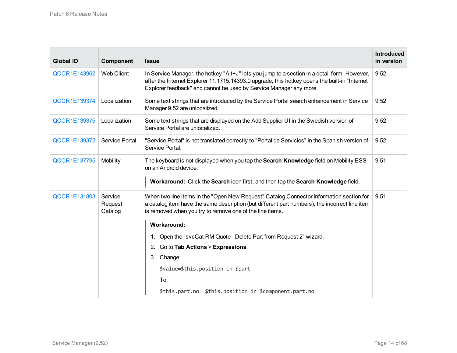| <b>Global ID</b>    | Component                     | <b>Issue</b>                                                                                                                                                                                                                                                         | <b>Introduced</b><br>in version |
|---------------------|-------------------------------|----------------------------------------------------------------------------------------------------------------------------------------------------------------------------------------------------------------------------------------------------------------------|---------------------------------|
| <b>QCCR1E143962</b> | <b>Web Client</b>             | In Service Manager, the hotkey "Alt+J" lets you jump to a section in a detail form. However,<br>after the Internet Explorer 11.1715.14393.0 upgrade, this hotkey opens the built-in "Internet"<br>Explorer feedback" and cannot be used by Service Manager any more. | 9.52                            |
| QCCR1E139374        | Localization                  | Some text strings that are introduced by the Service Portal search enhancement in Service<br>Manager 9.52 are unlocalized.                                                                                                                                           | 9.52                            |
| <b>QCCR1E139375</b> | Localization                  | Some text strings that are displayed on the Add Supplier UI in the Swedish version of<br>Service Portal are unlocalized.                                                                                                                                             | 9.52                            |
| <b>QCCR1E139372</b> | Service Portal                | "Service Portal" is not translated correctly to "Portal de Servicios" in the Spanish version of<br>Service Portal.                                                                                                                                                   | 9.52                            |
| <b>QCCR1E137795</b> | Mobility                      | The keyboard is not displayed when you tap the Search Knowledge field on Mobility ESS<br>on an Android device.<br>Workaround: Click the Search icon first, and then tap the Search Knowledge field.                                                                  | 9.51                            |
| <b>QCCR1E131803</b> | Service<br>Request<br>Catalog | When two line items in the "Open New Request" Catalog Connector information section for<br>a catalog item have the same description (but different part numbers), the incorrect line item<br>is removed when you try to remove one of the line items.                | 9.51                            |
|                     |                               | <b>Workaround:</b>                                                                                                                                                                                                                                                   |                                 |
|                     |                               | Open the "svcCat RM Quote - Delete Part from Request 2" wizard.<br>1.                                                                                                                                                                                                |                                 |
|                     |                               | Go to Tab Actions > Expressions.<br>2.                                                                                                                                                                                                                               |                                 |
|                     |                               | 3. Change:                                                                                                                                                                                                                                                           |                                 |
|                     |                               | \$value=\$this.position in \$part                                                                                                                                                                                                                                    |                                 |
|                     |                               | To:                                                                                                                                                                                                                                                                  |                                 |
|                     |                               | \$this.part.no= \$this.position in \$component.part.no                                                                                                                                                                                                               |                                 |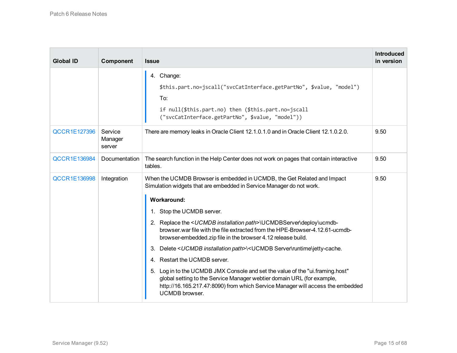| <b>Global ID</b>    | Component                    | <b>Issue</b>                                                                                                                                                                                                                                                | <b>Introduced</b><br>in version |
|---------------------|------------------------------|-------------------------------------------------------------------------------------------------------------------------------------------------------------------------------------------------------------------------------------------------------------|---------------------------------|
|                     |                              | 4. Change:<br>\$this.part.no=jscall("svcCatInterface.getPartNo", \$value, "model")<br>To:<br>if null(\$this.part.no) then (\$this.part.no=jscall<br>("svcCatInterface.getPartNo", \$value, "model"))                                                        |                                 |
| <b>QCCR1E127396</b> | Service<br>Manager<br>server | There are memory leaks in Oracle Client 12.1.0.1.0 and in Oracle Client 12.1.0.2.0.                                                                                                                                                                         | 9.50                            |
| <b>QCCR1E136984</b> | Documentation                | The search function in the Help Center does not work on pages that contain interactive<br>tables.                                                                                                                                                           | 9.50                            |
| <b>QCCR1E136998</b> | Integration                  | When the UCMDB Browser is embedded in UCMDB, the Get Related and Impact<br>Simulation widgets that are embedded in Service Manager do not work.                                                                                                             | 9.50                            |
|                     |                              | <b>Workaround:</b>                                                                                                                                                                                                                                          |                                 |
|                     |                              | 1. Stop the UCMDB server.                                                                                                                                                                                                                                   |                                 |
|                     |                              | 2. Replace the <ucmdb installation="" path="">\UCMDBServer\deploy\ucmdb-<br/>browser war file with the file extracted from the HPE-Browser-4, 12.61-ucmdb-<br/>browser-embedded.zip file in the browser 4.12 release build.</ucmdb>                         |                                 |
|                     |                              | 3. Delete <ucmdb installation="" path="">\<ucmdb server\runtime\jetty-cache.<="" td=""><td></td></ucmdb></ucmdb>                                                                                                                                            |                                 |
|                     |                              | 4. Restart the UCMDB server.                                                                                                                                                                                                                                |                                 |
|                     |                              | 5. Log in to the UCMDB JMX Console and set the value of the "ui.framing.host"<br>global setting to the Service Manager webtier domain URL (for example,<br>http://16.165.217.47:8090) from which Service Manager will access the embedded<br>UCMDB browser. |                                 |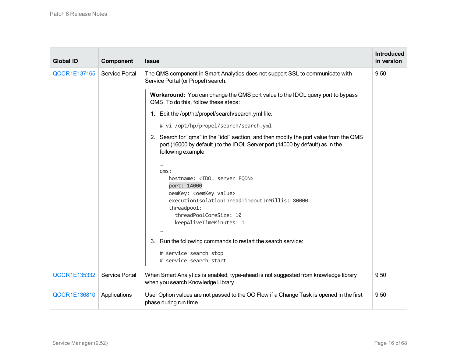| <b>Global ID</b>    | Component      | <b>Issue</b>                                                                                                                                                                                                                                                                                                                                                                                                                                                                                                                                                                                                                                                                                                                                                                                                                                                                                                         | <b>Introduced</b><br>in version |
|---------------------|----------------|----------------------------------------------------------------------------------------------------------------------------------------------------------------------------------------------------------------------------------------------------------------------------------------------------------------------------------------------------------------------------------------------------------------------------------------------------------------------------------------------------------------------------------------------------------------------------------------------------------------------------------------------------------------------------------------------------------------------------------------------------------------------------------------------------------------------------------------------------------------------------------------------------------------------|---------------------------------|
| <b>QCCR1E137165</b> | Service Portal | The QMS component in Smart Analytics does not support SSL to communicate with<br>Service Portal (or Propel) search.<br>Workaround: You can change the QMS port value to the IDOL query port to bypass<br>QMS. To do this, follow these steps:<br>1. Edit the /opt/hp/propel/search/search.yml file.<br># vi /opt/hp/propel/search/search.yml<br>2. Search for "qms" in the "idol" section, and then modify the port value from the QMS<br>port (16000 by default) to the IDOL Server port (14000 by default) as in the<br>following example:<br>$\cdots$<br>qms:<br>hostname: <idol fqdn="" server=""><br/>port: 14000<br/>oemKey: <oemkey value=""><br/>executionIsolationThreadTimeoutInMillis: 80000<br/>threadpool:<br/>threadPoolCoreSize: 10<br/>keepAliveTimeMinutes: 1<br/>3. Run the following commands to restart the search service:<br/># service search stop<br/># service search start</oemkey></idol> | 9.50                            |
| QCCR1E135332        | Service Portal | When Smart Analytics is enabled, type-ahead is not suggested from knowledge library<br>when you search Knowledge Library.                                                                                                                                                                                                                                                                                                                                                                                                                                                                                                                                                                                                                                                                                                                                                                                            | 9.50                            |
| <b>QCCR1E136810</b> | Applications   | User Option values are not passed to the OO Flow if a Change Task is opened in the first<br>phase during run time.                                                                                                                                                                                                                                                                                                                                                                                                                                                                                                                                                                                                                                                                                                                                                                                                   | 9.50                            |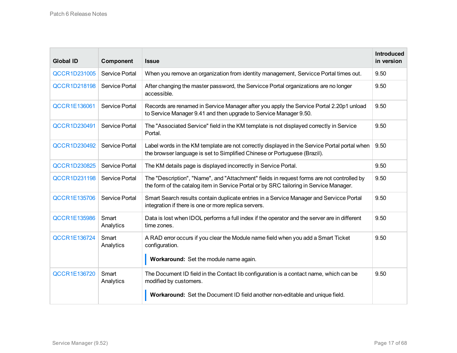| <b>Global ID</b>    | Component          | <b>Issue</b>                                                                                                                                                                                     | <b>Introduced</b><br>in version |
|---------------------|--------------------|--------------------------------------------------------------------------------------------------------------------------------------------------------------------------------------------------|---------------------------------|
| QCCR1D231005        | Service Portal     | When you remove an organization from identity management, Servicce Portal times out.                                                                                                             | 9.50                            |
| <b>QCCR1D218198</b> | Service Portal     | After changing the master password, the Servicce Portal organizations are no longer<br>accessible.                                                                                               | 9.50                            |
| <b>QCCR1E136061</b> | Service Portal     | Records are renamed in Service Manager after you apply the Service Portal 2.20p1 unload<br>to Service Manager 9.41 and then upgrade to Service Manager 9.50.                                     | 9.50                            |
| QCCR1D230491        | Service Portal     | The "Associated Service" field in the KM template is not displayed correctly in Service<br>Portal.                                                                                               | 9.50                            |
| QCCR1D230492        | Service Portal     | Label words in the KM template are not correctly displayed in the Service Portal portal when<br>the browser language is set to Simplified Chinese or Portuguese (Brazil).                        | 9.50                            |
| <b>QCCR1D230825</b> | Service Portal     | The KM details page is displayed incorrectly in Service Portal.                                                                                                                                  | 9.50                            |
| QCCR1D231198        | Service Portal     | The "Description", "Name", and "Attachment" fields in request forms are not controlled by<br>the form of the catalog item in Service Portal or by SRC tailoring in Service Manager.              | 9.50                            |
| <b>QCCR1E135706</b> | Service Portal     | Smart Search results contain duplicate entries in a Service Manager and Servicce Portal<br>integration if there is one or more replica servers.                                                  | 9.50                            |
| <b>QCCR1E135986</b> | Smart<br>Analytics | Data is lost when IDOL performs a full index if the operator and the server are in different<br>time zones.                                                                                      | 9.50                            |
| <b>QCCR1E136724</b> | Smart<br>Analytics | A RAD error occurs if you clear the Module name field when you add a Smart Ticket<br>configuration.<br>Workaround: Set the module name again.                                                    | 9.50                            |
| <b>QCCR1E136720</b> | Smart<br>Analytics | The Document ID field in the Contact lib configuration is a contact name, which can be<br>modified by customers.<br>Workaround: Set the Document ID field another non-editable and unique field. | 9.50                            |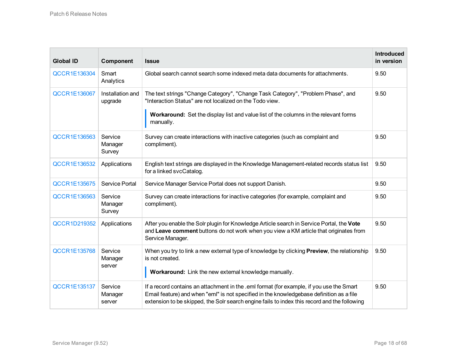| <b>Global ID</b>    | Component                    | <b>Issue</b>                                                                                                                                                                                                                                                                         | <b>Introduced</b><br>in version |
|---------------------|------------------------------|--------------------------------------------------------------------------------------------------------------------------------------------------------------------------------------------------------------------------------------------------------------------------------------|---------------------------------|
| <b>QCCR1E136304</b> | Smart<br>Analytics           | Global search cannot search some indexed meta data documents for attachments.                                                                                                                                                                                                        | 9.50                            |
| <b>QCCR1E136067</b> | Installation and<br>upgrade  | The text strings "Change Category", "Change Task Category", "Problem Phase", and<br>"Interaction Status" are not localized on the Todo view.<br>Workaround: Set the display list and value list of the columns in the relevant forms<br>manually.                                    | 9.50                            |
| <b>QCCR1E136563</b> | Service<br>Manager<br>Survey | Survey can create interactions with inactive categories (such as complaint and<br>compliment).                                                                                                                                                                                       | 9.50                            |
| <b>QCCR1E136532</b> | Applications                 | English text strings are displayed in the Knowledge Management-related records status list<br>for a linked svcCatalog.                                                                                                                                                               | 9.50                            |
| <b>QCCR1E135675</b> | Service Portal               | Service Manager Service Portal does not support Danish.                                                                                                                                                                                                                              | 9.50                            |
| QCCR1E136563        | Service<br>Manager<br>Survey | Survey can create interactions for inactive categories (for example, complaint and<br>compliment).                                                                                                                                                                                   | 9.50                            |
| QCCR1D219352        | Applications                 | After you enable the Solr plugin for Knowledge Article search in Service Portal, the Vote<br>and Leave comment buttons do not work when you view a KM article that originates from<br>Service Manager.                                                                               | 9.50                            |
| <b>QCCR1E135768</b> | Service<br>Manager<br>server | When you try to link a new external type of knowledge by clicking <b>Preview</b> , the relationship<br>is not created.<br>Workaround: Link the new external knowledge manually.                                                                                                      | 9.50                            |
| <b>QCCR1E135137</b> | Service<br>Manager<br>server | If a record contains an attachment in the .emI format (for example, if you use the Smart<br>Email feature) and when "eml" is not specified in the knowledgebase definition as a file<br>extension to be skipped, the Solr search engine fails to index this record and the following | 9.50                            |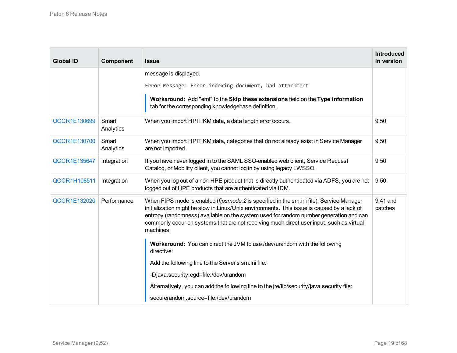| <b>Global ID</b>    | Component          | <b>Issue</b>                                                                                                                                                                                                                                                                                                                                                                              | <b>Introduced</b><br>in version |
|---------------------|--------------------|-------------------------------------------------------------------------------------------------------------------------------------------------------------------------------------------------------------------------------------------------------------------------------------------------------------------------------------------------------------------------------------------|---------------------------------|
|                     |                    | message is displayed.                                                                                                                                                                                                                                                                                                                                                                     |                                 |
|                     |                    | Error Message: Error indexing document, bad attachment                                                                                                                                                                                                                                                                                                                                    |                                 |
|                     |                    | Workaround: Add "eml" to the Skip these extensions field on the Type information<br>tab for the corresponding knowledgebase definition.                                                                                                                                                                                                                                                   |                                 |
| <b>QCCR1E130699</b> | Smart<br>Analytics | When you import HPIT KM data, a data length error occurs.                                                                                                                                                                                                                                                                                                                                 | 9.50                            |
| <b>QCCR1E130700</b> | Smart<br>Analytics | When you import HPIT KM data, categories that do not already exist in Service Manager<br>are not imported.                                                                                                                                                                                                                                                                                | 9.50                            |
| <b>QCCR1E135647</b> | Integration        | If you have never logged in to the SAML SSO-enabled web client, Service Request<br>Catalog, or Mobility client, you cannot log in by using legacy LWSSO.                                                                                                                                                                                                                                  | 9.50                            |
| <b>QCCR1H108511</b> | Integration        | When you log out of a non-HPE product that is directly authenticated via ADFS, you are not<br>logged out of HPE products that are authenticated via IDM.                                                                                                                                                                                                                                  | 9.50                            |
| <b>QCCR1E132020</b> | Performance        | When FIPS mode is enabled (fipsmode: 2 is specified in the sm.ini file), Service Manager<br>initialization might be slow in Linux/Unix environments. This issue is caused by a lack of<br>entropy (randomness) available on the system used for random number generation and can<br>commonly occur on systems that are not receiving much direct user input, such as virtual<br>machines. | 9.41 and<br>patches             |
|                     |                    | Workaround: You can direct the JVM to use /dev/urandom with the following<br>directive:                                                                                                                                                                                                                                                                                                   |                                 |
|                     |                    | Add the following line to the Server's sm.ini file:                                                                                                                                                                                                                                                                                                                                       |                                 |
|                     |                    | -Djava.security.egd=file:/dev/urandom                                                                                                                                                                                                                                                                                                                                                     |                                 |
|                     |                    | Alternatively, you can add the following line to the jre/lib/security/java.security file:                                                                                                                                                                                                                                                                                                 |                                 |
|                     |                    | securerandom.source=file:/dev/urandom                                                                                                                                                                                                                                                                                                                                                     |                                 |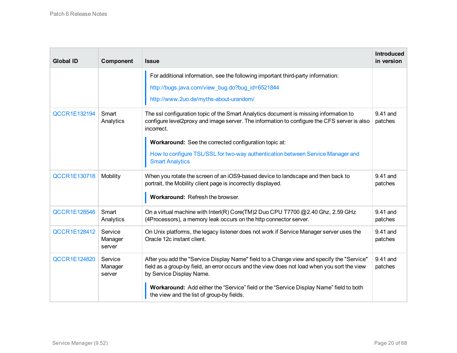| <b>Global ID</b>    | Component                    | <b>Issue</b>                                                                                                                                                                                                                                                                                                                                                             | <b>Introduced</b><br>in version |
|---------------------|------------------------------|--------------------------------------------------------------------------------------------------------------------------------------------------------------------------------------------------------------------------------------------------------------------------------------------------------------------------------------------------------------------------|---------------------------------|
|                     |                              | For additional information, see the following important third-party information:<br>http://bugs.java.com/view_bug.do?bug_id=6521844<br>http://www.2uo.de/myths-about-urandom/                                                                                                                                                                                            |                                 |
| <b>QCCR1E132194</b> | Smart<br>Analytics           | The ssl configuration topic of the Smart Analytics document is missing information to<br>configure level2proxy and image server. The information to configure the CFS server is also<br>incorrect.<br>Workaround: See the corrected configuration topic at:<br>How to configure TSL/SSL for two-way authentication between Service Manager and<br><b>Smart Analytics</b> | 9.41 and<br>patches             |
| <b>QCCR1E130718</b> | Mobility                     | When you rotate the screen of an iOS9-based device to landscape and then back to<br>portrait, the Mobility client page is incorrectly displayed.<br>Workaround: Refresh the browser.                                                                                                                                                                                     | 9.41 and<br>patches             |
| <b>QCCR1E128546</b> | Smart<br>Analytics           | On a virtual machine with Interl(R) Core(TM)2 Duo CPU T7700 @2.40 Ghz, 2.59 GHz<br>(4Processors), a memory leak occurs on the http connector server.                                                                                                                                                                                                                     | 9.41 and<br>patches             |
| <b>QCCR1E128412</b> | Service<br>Manager<br>server | On Unix platforms, the legacy listener does not work if Service Manager server uses the<br>Oracle 12c instant client.                                                                                                                                                                                                                                                    | 9.41 and<br>patches             |
| <b>QCCR1E124820</b> | Service<br>Manager<br>server | After you add the "Service Display Name" field to a Change view and specify the "Service"<br>field as a group-by field, an error occurs and the view does not load when you sort the view<br>by Service Display Name.<br>Workaround: Add either the "Service" field or the "Service Display Name" field to both<br>the view and the list of group-by fields.             | 9.41 and<br>patches             |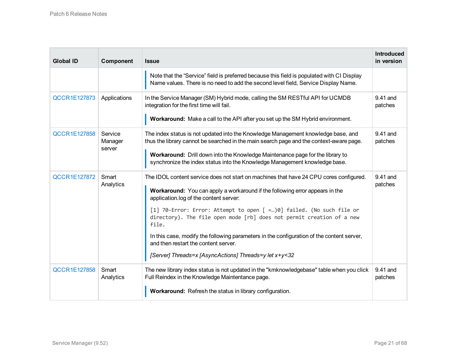| <b>Global ID</b>    | Component                    | <b>Issue</b>                                                                                                                                                                                                                                                                                                                                                                                                                                                                                                                                                              | <b>Introduced</b><br>in version |
|---------------------|------------------------------|---------------------------------------------------------------------------------------------------------------------------------------------------------------------------------------------------------------------------------------------------------------------------------------------------------------------------------------------------------------------------------------------------------------------------------------------------------------------------------------------------------------------------------------------------------------------------|---------------------------------|
|                     |                              | Note that the "Service" field is preferred because this field is populated with CI Display<br>Name values. There is no need to add the second level field, Service Display Name.                                                                                                                                                                                                                                                                                                                                                                                          |                                 |
| QCCR1E127873        | Applications                 | In the Service Manager (SM) Hybrid mode, calling the SM RESTful API for UCMDB<br>integration for the first time will fail.<br>Workaround: Make a call to the API after you set up the SM Hybrid environment.                                                                                                                                                                                                                                                                                                                                                              | 9.41 and<br>patches             |
| <b>QCCR1E127858</b> | Service<br>Manager<br>server | The index status is not updated into the Knowledge Management knowledge base, and<br>thus the library cannot be searched in the main search page and the context-aware page.<br>Workaround: Drill down into the Knowledge Maintenance page for the library to<br>synchronize the index status into the Knowledge Management knowledge base.                                                                                                                                                                                                                               | 9.41 and<br>patches             |
| <b>QCCR1E127872</b> | Smart<br>Analytics           | The IDOL content service does not start on machines that have 24 CPU cores configured.<br>Workaround: You can apply a workaround if the following error appears in the<br>application.log of the content server:<br>[1] 70-Error: Error: Attempt to open [ =)0] failed. (No such file or<br>directory). The file open mode [rb] does not permit creation of a new<br>file.<br>In this case, modify the following parameters in the configuration of the content server,<br>and then restart the content server.<br>[Server] Threads=x [AsyncActions] Threads=y let x+y<32 | 9.41 and<br>patches             |
| <b>QCCR1E127858</b> | Smart<br>Analytics           | The new library index status is not updated in the "kmknowledgebase" table when you click<br>Full Reindex in the Knowledge Maintentance page.<br>Workaround: Refresh the status in library configuration.                                                                                                                                                                                                                                                                                                                                                                 | $9.41$ and<br>patches           |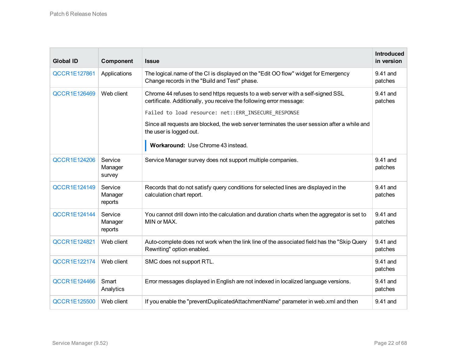| <b>Global ID</b>    | Component                     | <b>Issue</b>                                                                                                                                                                                                                                                                                                                                                                    | <b>Introduced</b><br>in version |
|---------------------|-------------------------------|---------------------------------------------------------------------------------------------------------------------------------------------------------------------------------------------------------------------------------------------------------------------------------------------------------------------------------------------------------------------------------|---------------------------------|
| <b>QCCR1E127861</b> | Applications                  | The logical name of the CI is displayed on the "Edit OO flow" widget for Emergency<br>Change records in the "Build and Test" phase.                                                                                                                                                                                                                                             | 9.41 and<br>patches             |
| <b>QCCR1E126469</b> | Web client                    | Chrome 44 refuses to send https requests to a web server with a self-signed SSL<br>certificate. Additionally, you receive the following error message:<br>Failed to load resource: net:: ERR_INSECURE_RESPONSE<br>Since all requests are blocked, the web server terminates the user session after a while and<br>the user is logged out.<br>Workaround: Use Chrome 43 instead. | 9.41 and<br>patches             |
| <b>QCCR1E124206</b> | Service<br>Manager<br>survey  | Service Manager survey does not support multiple companies.                                                                                                                                                                                                                                                                                                                     | 9.41 and<br>patches             |
| <b>QCCR1E124149</b> | Service<br>Manager<br>reports | Records that do not satisfy query conditions for selected lines are displayed in the<br>calculation chart report.                                                                                                                                                                                                                                                               | 9.41 and<br>patches             |
| <b>QCCR1E124144</b> | Service<br>Manager<br>reports | You cannot drill down into the calculation and duration charts when the aggregator is set to<br>MIN or MAX.                                                                                                                                                                                                                                                                     | 9.41 and<br>patches             |
| <b>QCCR1E124821</b> | Web client                    | Auto-complete does not work when the link line of the associated field has the "Skip Query<br>Rewriting" option enabled.                                                                                                                                                                                                                                                        | 9.41 and<br>patches             |
| <b>QCCR1E122174</b> | Web client                    | SMC does not support RTL.                                                                                                                                                                                                                                                                                                                                                       | 9.41 and<br>patches             |
| <b>QCCR1E124466</b> | Smart<br>Analytics            | Error messages displayed in English are not indexed in localized language versions.                                                                                                                                                                                                                                                                                             | 9.41 and<br>patches             |
| <b>QCCR1E125500</b> | Web client                    | If you enable the "preventDuplicatedAttachmentName" parameter in web.xml and then                                                                                                                                                                                                                                                                                               | 9.41 and                        |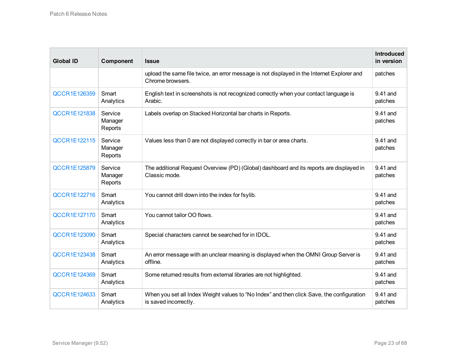| <b>Global ID</b>    | Component                     | <b>Issue</b>                                                                                                       | <b>Introduced</b><br>in version |
|---------------------|-------------------------------|--------------------------------------------------------------------------------------------------------------------|---------------------------------|
|                     |                               | upload the same file twice, an error message is not displayed in the Internet Explorer and<br>Chrome browsers.     | patches                         |
| <b>QCCR1E126359</b> | Smart<br>Analytics            | English text in screenshots is not recognized correctly when your contact language is<br>Arabic.                   | 9.41 and<br>patches             |
| <b>QCCR1E121838</b> | Service<br>Manager<br>Reports | Labels overlap on Stacked Horizontal bar charts in Reports.                                                        | 9.41 and<br>patches             |
| <b>QCCR1E122115</b> | Service<br>Manager<br>Reports | Values less than 0 are not displayed correctly in bar or area charts.                                              | 9.41 and<br>patches             |
| <b>QCCR1E125879</b> | Service<br>Manager<br>Reports | The additional Request Overview (PD) (Global) dashboard and its reports are displayed in<br>Classic mode.          | 9.41 and<br>patches             |
| <b>QCCR1E122716</b> | Smart<br>Analytics            | You cannot drill down into the index for fsylib.                                                                   | 9.41 and<br>patches             |
| <b>QCCR1E127170</b> | Smart<br>Analytics            | You cannot tailor OO flows.                                                                                        | 9.41 and<br>patches             |
| <b>QCCR1E123090</b> | Smart<br>Analytics            | Special characters cannot be searched for in IDOL.                                                                 | 9.41 and<br>patches             |
| <b>QCCR1E123438</b> | Smart<br>Analytics            | An error message with an unclear meaning is displayed when the OMNI Group Server is<br>offline.                    | 9.41 and<br>patches             |
| <b>QCCR1E124369</b> | Smart<br>Analytics            | Some returned results from external libraries are not highlighted.                                                 | 9.41 and<br>patches             |
| <b>QCCR1E124633</b> | Smart<br>Analytics            | When you set all Index Weight values to "No Index" and then click Save, the configuration<br>is saved incorrectly. | 9.41 and<br>patches             |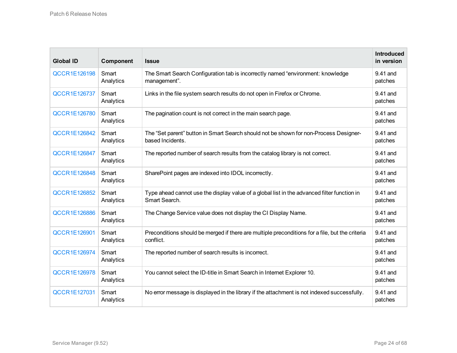| <b>Global ID</b>    | Component          | <b>Issue</b>                                                                                                 | <b>Introduced</b><br>in version |
|---------------------|--------------------|--------------------------------------------------------------------------------------------------------------|---------------------------------|
| <b>QCCR1E126198</b> | Smart<br>Analytics | The Smart Search Configuration tab is incorrectly named "environment: knowledge<br>management".              | 9.41 and<br>patches             |
| <b>QCCR1E126737</b> | Smart<br>Analytics | Links in the file system search results do not open in Firefox or Chrome.                                    | 9.41 and<br>patches             |
| <b>QCCR1E126780</b> | Smart<br>Analytics | The pagination count is not correct in the main search page.                                                 | 9.41 and<br>patches             |
| <b>QCCR1E126842</b> | Smart<br>Analytics | The "Set parent" button in Smart Search should not be shown for non-Process Designer-<br>based Incidents.    | 9.41 and<br>patches             |
| <b>QCCR1E126847</b> | Smart<br>Analytics | The reported number of search results from the catalog library is not correct.                               | 9.41 and<br>patches             |
| <b>QCCR1E126848</b> | Smart<br>Analytics | SharePoint pages are indexed into IDOL incorrectly.                                                          | 9.41 and<br>patches             |
| <b>QCCR1E126852</b> | Smart<br>Analytics | Type ahead cannot use the display value of a global list in the advanced filter function in<br>Smart Search. | 9.41 and<br>patches             |
| <b>QCCR1E126886</b> | Smart<br>Analytics | The Change Service value does not display the CI Display Name.                                               | 9.41 and<br>patches             |
| <b>QCCR1E126901</b> | Smart<br>Analytics | Preconditions should be merged if there are multiple preconditions for a file, but the criteria<br>conflict. | 9.41 and<br>patches             |
| <b>QCCR1E126974</b> | Smart<br>Analytics | The reported number of search results is incorrect.                                                          | 9.41 and<br>patches             |
| <b>QCCR1E126978</b> | Smart<br>Analytics | You cannot select the ID-title in Smart Search in Internet Explorer 10.                                      | 9.41 and<br>patches             |
| QCCR1E127031        | Smart<br>Analytics | No error message is displayed in the library if the attachment is not indexed successfully.                  | 9.41 and<br>patches             |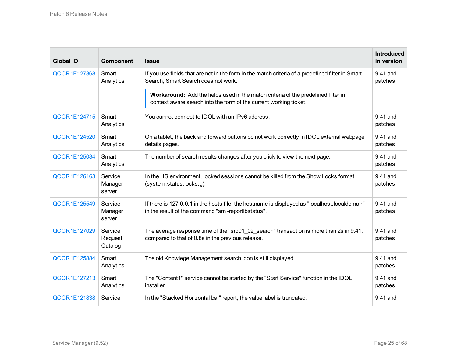| <b>Global ID</b>    | Component                     | <b>Issue</b>                                                                                                                                           | <b>Introduced</b><br>in version |
|---------------------|-------------------------------|--------------------------------------------------------------------------------------------------------------------------------------------------------|---------------------------------|
| <b>QCCR1E127368</b> | Smart<br>Analytics            | If you use fields that are not in the form in the match criteria of a predefined filter in Smart<br>Search, Smart Search does not work.                | 9.41 and<br>patches             |
|                     |                               | Workaround: Add the fields used in the match criteria of the predefined filter in<br>context aware search into the form of the current working ticket. |                                 |
| <b>QCCR1E124715</b> | Smart<br>Analytics            | You cannot connect to IDOL with an IPv6 address.                                                                                                       | 9.41 and<br>patches             |
| <b>QCCR1E124520</b> | Smart<br>Analytics            | On a tablet, the back and forward buttons do not work correctly in IDOL external webpage<br>details pages.                                             | 9.41 and<br>patches             |
| <b>QCCR1E125084</b> | Smart<br>Analytics            | The number of search results changes after you click to view the next page.                                                                            | 9.41 and<br>patches             |
| <b>QCCR1E126163</b> | Service<br>Manager<br>server  | In the HS environment, locked sessions cannot be killed from the Show Locks format<br>(system.status.locks.g).                                         | 9.41 and<br>patches             |
| <b>QCCR1E125549</b> | Service<br>Manager<br>server  | If there is 127.0.0.1 in the hosts file, the hostname is displayed as "localhost.localdomain"<br>in the result of the command "sm-reportibstatus".     | 9.41 and<br>patches             |
| QCCR1E127029        | Service<br>Request<br>Catalog | The average response time of the "src01_02_search" transaction is more than 2s in 9.41,<br>compared to that of 0.8s in the previous release.           | 9.41 and<br>patches             |
| <b>QCCR1E125884</b> | Smart<br>Analytics            | The old Knowlege Management search icon is still displayed.                                                                                            | 9.41 and<br>patches             |
| <b>QCCR1E127213</b> | Smart<br>Analytics            | The "Content1" service cannot be started by the "Start Service" function in the IDOL<br>installer.                                                     | 9.41 and<br>patches             |
| <b>QCCR1E121838</b> | Service                       | In the "Stacked Horizontal bar" report, the value label is truncated.                                                                                  | 9.41 and                        |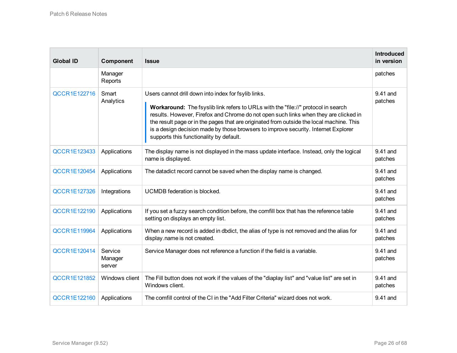| <b>Global ID</b>    | Component                    | <b>Issue</b>                                                                                                                                                                                                                                                                                                                                                                                                                                                   | <b>Introduced</b><br>in version |
|---------------------|------------------------------|----------------------------------------------------------------------------------------------------------------------------------------------------------------------------------------------------------------------------------------------------------------------------------------------------------------------------------------------------------------------------------------------------------------------------------------------------------------|---------------------------------|
|                     | Manager<br>Reports           |                                                                                                                                                                                                                                                                                                                                                                                                                                                                | patches                         |
| <b>QCCR1E122716</b> | Smart<br>Analytics           | Users cannot drill down into index for fsylib links.<br>Workaround: The fsyslib link refers to URLs with the "file://" protocol in search<br>results. However, Firefox and Chrome do not open such links when they are clicked in<br>the result page or in the pages that are originated from outside the local machine. This<br>is a design decision made by those browsers to improve security. Internet Explorer<br>supports this functionality by default. | 9.41 and<br>patches             |
| QCCR1E123433        | Applications                 | The display name is not displayed in the mass update interface. Instead, only the logical<br>name is displayed.                                                                                                                                                                                                                                                                                                                                                | 9.41 and<br>patches             |
| <b>QCCR1E120454</b> | Applications                 | The datadict record cannot be saved when the display name is changed.                                                                                                                                                                                                                                                                                                                                                                                          | 9.41 and<br>patches             |
| <b>QCCR1E127326</b> | Integrations                 | UCMDB federation is blocked.                                                                                                                                                                                                                                                                                                                                                                                                                                   | 9.41 and<br>patches             |
| <b>QCCR1E122190</b> | Applications                 | If you set a fuzzy search condition before, the comfill box that has the reference table<br>setting on displays an empty list.                                                                                                                                                                                                                                                                                                                                 | 9.41 and<br>patches             |
| <b>QCCR1E119964</b> | Applications                 | When a new record is added in dbdict, the alias of type is not removed and the alias for<br>display name is not created.                                                                                                                                                                                                                                                                                                                                       | 9.41 and<br>patches             |
| <b>QCCR1E120414</b> | Service<br>Manager<br>server | Service Manager does not reference a function if the field is a variable.                                                                                                                                                                                                                                                                                                                                                                                      | 9.41 and<br>patches             |
| <b>QCCR1E121852</b> | Windows client               | The Fill button does not work if the values of the "diaplay list" and "value list" are set in<br>Windows client.                                                                                                                                                                                                                                                                                                                                               | 9.41 and<br>patches             |
| <b>QCCR1E122160</b> | Applications                 | The comfill control of the CI in the "Add Filter Criteria" wizard does not work.                                                                                                                                                                                                                                                                                                                                                                               | 9.41 and                        |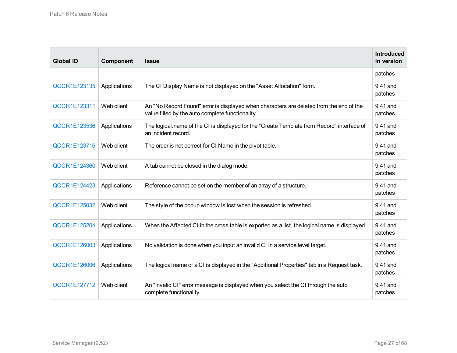| <b>Global ID</b>    | Component    | <b>Issue</b>                                                                                                                                | <b>Introduced</b><br>in version |
|---------------------|--------------|---------------------------------------------------------------------------------------------------------------------------------------------|---------------------------------|
|                     |              |                                                                                                                                             | patches                         |
| <b>QCCR1E123135</b> | Applications | The CI Display Name is not displayed on the "Asset Allocation" form.                                                                        | 9.41 and<br>patches             |
| QCCR1E123311        | Web client   | An "No Record Found" error is displayed when characters are deleted from the end of the<br>value filled by the auto complete functionality. | 9.41 and<br>patches             |
| <b>QCCR1E123536</b> | Applications | The logical name of the CI is displayed for the "Create Template from Record" interface of<br>an incident record.                           | 9.41 and<br>patches             |
| <b>QCCR1E123716</b> | Web client   | The order is not correct for CI Name in the pivot table.                                                                                    | 9.41 and<br>patches             |
| <b>QCCR1E124360</b> | Web client   | A tab cannot be closed in the dialog mode.                                                                                                  | 9.41 and<br>patches             |
| <b>QCCR1E124423</b> | Applications | Reference cannot be set on the member of an array of a structure.                                                                           | 9.41 and<br>patches             |
| QCCR1E125032        | Web client   | The style of the popup window is lost when the session is refreshed.                                                                        | 9.41 and<br>patches             |
| <b>QCCR1E125204</b> | Applications | When the Affected CI in the cross table is exported as a list, the logical name is displayed.                                               | 9.41 and<br>patches             |
| <b>QCCR1E126003</b> | Applications | No validation is done when you input an invalid CI in a service level target.                                                               | 9.41 and<br>patches             |
| <b>QCCR1E126006</b> | Applications | The logical name of a CI is displayed in the "Additional Properties" tab in a Request task.                                                 | 9.41 and<br>patches             |
| QCCR1E127712        | Web client   | An "invalid CI" error message is displayed when you select the CI through the auto<br>complete functionality.                               | 9.41 and<br>patches             |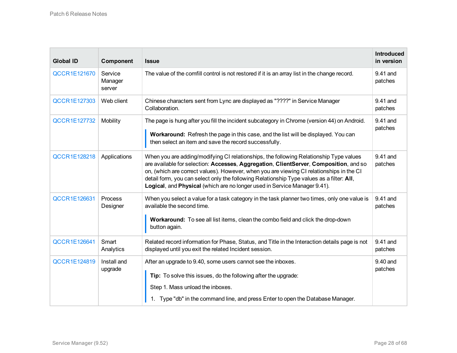| <b>Global ID</b>    | Component                    | <b>Issue</b>                                                                                                                                                                                                                                                                                                                                                                                                                                          | <b>Introduced</b><br>in version |
|---------------------|------------------------------|-------------------------------------------------------------------------------------------------------------------------------------------------------------------------------------------------------------------------------------------------------------------------------------------------------------------------------------------------------------------------------------------------------------------------------------------------------|---------------------------------|
| <b>QCCR1E121670</b> | Service<br>Manager<br>server | The value of the comfill control is not restored if it is an array list in the change record.                                                                                                                                                                                                                                                                                                                                                         | 9.41 and<br>patches             |
| <b>QCCR1E127303</b> | Web client                   | Chinese characters sent from Lync are displayed as "????" in Service Manager<br>Collaboration.                                                                                                                                                                                                                                                                                                                                                        | 9.41 and<br>patches             |
| QCCR1E127732        | Mobility                     | The page is hung after you fill the incident subcategory in Chrome (version 44) on Android.<br>Workaround: Refresh the page in this case, and the list will be displayed. You can<br>then select an item and save the record successfully.                                                                                                                                                                                                            | 9.41 and<br>patches             |
| <b>QCCR1E128218</b> | Applications                 | When you are adding/modifying CI relationships, the following Relationship Type values<br>are available for selection: Accesses, Aggregation, ClientServer, Composition, and so<br>on, (which are correct values). However, when you are viewing CI relationships in the CI<br>detail form, you can select only the following Relationship Type values as a filter: All,<br>Logical, and Physical (which are no longer used in Service Manager 9.41). | 9.41 and<br>patches             |
| <b>QCCR1E126631</b> | Process<br>Designer          | When you select a value for a task category in the task planner two times, only one value is<br>available the second time.<br>Workaround: To see all list items, clean the combo field and click the drop-down<br>button again.                                                                                                                                                                                                                       | 9.41 and<br>patches             |
| <b>QCCR1E126641</b> | Smart<br>Analytics           | Related record information for Phase, Status, and Title in the Interaction details page is not<br>displayed until you exit the related Incident session.                                                                                                                                                                                                                                                                                              | 9.41 and<br>patches             |
| <b>QCCR1E124819</b> | Install and<br>upgrade       | After an upgrade to 9.40, some users cannot see the inboxes.<br>Tip: To solve this issues, do the following after the upgrade:<br>Step 1. Mass unload the inboxes.<br>Type "db" in the command line, and press Enter to open the Database Manager.                                                                                                                                                                                                    | 9.40 and<br>patches             |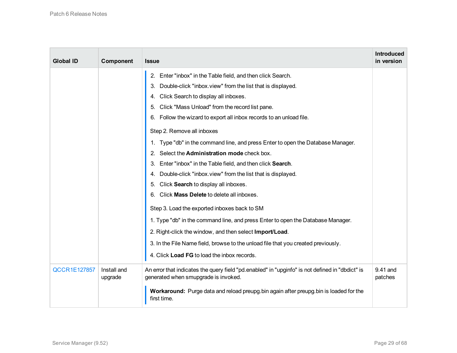| <b>Global ID</b>    | Component              | <b>Issue</b>                                                                                                                            | <b>Introduced</b><br>in version |
|---------------------|------------------------|-----------------------------------------------------------------------------------------------------------------------------------------|---------------------------------|
|                     |                        | Enter "inbox" in the Table field, and then click Search.<br>2.                                                                          |                                 |
|                     |                        | Double-click "inbox.view" from the list that is displayed.<br>3.                                                                        |                                 |
|                     |                        | Click Search to display all inboxes.<br>4.                                                                                              |                                 |
|                     |                        | Click "Mass Unload" from the record list pane.<br>5.                                                                                    |                                 |
|                     |                        | Follow the wizard to export all inbox records to an unload file.<br>6.                                                                  |                                 |
|                     |                        | Step 2. Remove all inboxes                                                                                                              |                                 |
|                     |                        | Type "db" in the command line, and press Enter to open the Database Manager.<br>1.                                                      |                                 |
|                     |                        | Select the Administration mode check box.<br>2.                                                                                         |                                 |
|                     |                        | Enter "inbox" in the Table field, and then click Search.<br>3.                                                                          |                                 |
|                     |                        | Double-click "inbox.view" from the list that is displayed.<br>4.                                                                        |                                 |
|                     |                        | Click Search to display all inboxes.<br>5.                                                                                              |                                 |
|                     |                        | Click Mass Delete to delete all inboxes.<br>6.                                                                                          |                                 |
|                     |                        | Step 3. Load the exported inboxes back to SM                                                                                            |                                 |
|                     |                        | 1. Type "db" in the command line, and press Enter to open the Database Manager.                                                         |                                 |
|                     |                        | 2. Right-click the window, and then select Import/Load.                                                                                 |                                 |
|                     |                        | 3. In the File Name field, browse to the unload file that you created previously.                                                       |                                 |
|                     |                        | 4. Click Load FG to load the inbox records.                                                                                             |                                 |
| <b>QCCR1E127857</b> | Install and<br>upgrade | An error that indicates the query field "pd.enabled" in "upginfo" is not defined in "dbdict" is<br>generated when smupgrade is invoked. | 9.41 and<br>patches             |
|                     |                        | Workaround: Purge data and reload preupg bin again after preupg bin is loaded for the<br>first time.                                    |                                 |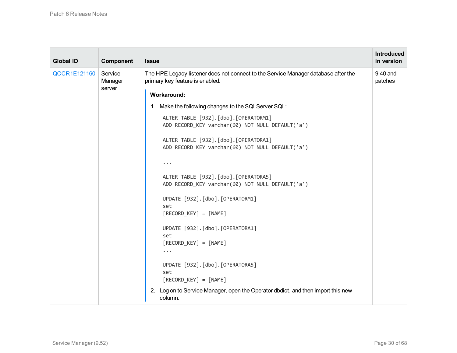| <b>Global ID</b>    | Component          | <b>Issue</b>                                                                                                          | <b>Introduced</b><br>in version |
|---------------------|--------------------|-----------------------------------------------------------------------------------------------------------------------|---------------------------------|
| <b>QCCR1E121160</b> | Service<br>Manager | The HPE Legacy listener does not connect to the Service Manager database after the<br>primary key feature is enabled. | 9.40 and<br>patches             |
|                     | server             | <b>Workaround:</b>                                                                                                    |                                 |
|                     |                    | 1. Make the following changes to the SQLServer SQL:                                                                   |                                 |
|                     |                    | ALTER TABLE [932].[dbo].[OPERATORM1]<br>ADD RECORD KEY varchar(60) NOT NULL DEFAULT('a')                              |                                 |
|                     |                    | ALTER TABLE [932].[dbo].[OPERATORA1]<br>ADD RECORD_KEY varchar(60) NOT NULL DEFAULT('a')                              |                                 |
|                     |                    | $\bullet\quad\bullet\quad\bullet$                                                                                     |                                 |
|                     |                    | ALTER TABLE [932].[dbo].[OPERATORA5]<br>ADD RECORD KEY varchar(60) NOT NULL DEFAULT('a')                              |                                 |
|                     |                    | UPDATE [932].[dbo].[OPERATORM1]                                                                                       |                                 |
|                     |                    | set<br>$[RECORD_KEY] = [NAME]$                                                                                        |                                 |
|                     |                    | UPDATE [932].[dbo].[OPERATORA1]                                                                                       |                                 |
|                     |                    | set<br>$[RECORD_KEY] = [NAME]$                                                                                        |                                 |
|                     |                    | $\cdots$                                                                                                              |                                 |
|                     |                    | UPDATE [932].[dbo].[OPERATORA5]                                                                                       |                                 |
|                     |                    | set<br>$[RECORD_KEY] = [NAME]$                                                                                        |                                 |
|                     |                    | 2. Log on to Service Manager, open the Operator dbdict, and then import this new<br>column.                           |                                 |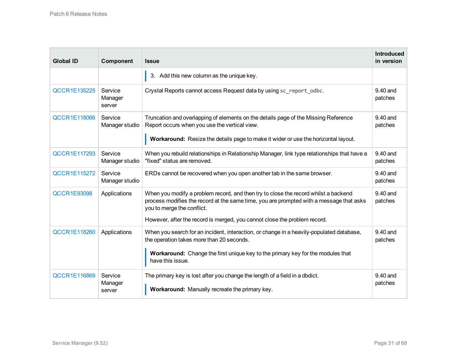| <b>Global ID</b>    | Component                    | <b>Issue</b>                                                                                                                                                                                                                                                                              | <b>Introduced</b><br>in version |
|---------------------|------------------------------|-------------------------------------------------------------------------------------------------------------------------------------------------------------------------------------------------------------------------------------------------------------------------------------------|---------------------------------|
|                     |                              | 3. Add this new column as the unique key.                                                                                                                                                                                                                                                 |                                 |
| <b>QCCR1E135225</b> | Service<br>Manager<br>server | Crystal Reports cannot access Request data by using sc report odbc.                                                                                                                                                                                                                       | 9.40 and<br>patches             |
| <b>QCCR1E118066</b> | Service<br>Manager studio    | Truncation and overlapping of elements on the details page of the Missing Reference<br>Report occurs when you use the vertical view.<br>Workaround: Resize the details page to make it wider or use the horizontal layout.                                                                | 9.40 and<br>patches             |
| <b>QCCR1E117293</b> | Service<br>Manager studio    | When you rebuild relationships in Relationship Manager, link type relationships that have a<br>"fixed" status are removed.                                                                                                                                                                | 9.40 and<br>patches             |
| <b>QCCR1E115272</b> | Service<br>Manager studio    | ERDs cannot be recovered when you open another tab in the same browser.                                                                                                                                                                                                                   | 9.40 and<br>patches             |
| <b>QCCR1E93098</b>  | Applications                 | When you modify a problem record, and then try to close the record whilst a backend<br>process modifies the record at the same time, you are prompted with a message that asks<br>you to merge the conflict.<br>However, after the record is merged, you cannot close the problem record. | 9.40 and<br>patches             |
| <b>QCCR1E118260</b> | Applications                 | When you search for an incident, interaction, or change in a heavily-populated database,<br>the operation takes more than 20 seconds.<br>Workaround: Change the first unique key to the primary key for the modules that<br>have this issue.                                              | 9.40 and<br>patches             |
| <b>QCCR1E116869</b> | Service<br>Manager<br>server | The primary key is lost after you change the length of a field in a dbdict.<br>Workaround: Manually recreate the primary key.                                                                                                                                                             | 9.40 and<br>patches             |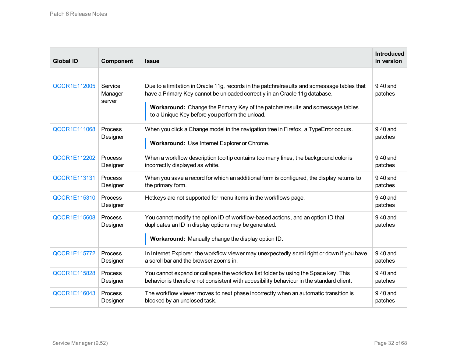| <b>Global ID</b>    | Component                    | <b>Issue</b>                                                                                                                                                                                                                                                                                                  | <b>Introduced</b><br>in version |
|---------------------|------------------------------|---------------------------------------------------------------------------------------------------------------------------------------------------------------------------------------------------------------------------------------------------------------------------------------------------------------|---------------------------------|
|                     |                              |                                                                                                                                                                                                                                                                                                               |                                 |
| <b>QCCR1E112005</b> | Service<br>Manager<br>server | Due to a limitation in Oracle 11g, records in the patchrelresults and scmessage tables that<br>have a Primary Key cannot be unloaded correctly in an Oracle 11g database.<br>Workaround: Change the Primary Key of the patchrelresults and scmessage tables<br>to a Unique Key before you perform the unload. | 9.40 and<br>patches             |
| <b>QCCR1E111068</b> | Process                      | When you click a Change model in the navigation tree in Firefox, a TypeError occurs.                                                                                                                                                                                                                          | 9.40 and                        |
|                     | Designer                     | Workaround: Use Internet Explorer or Chrome.                                                                                                                                                                                                                                                                  | patches                         |
| <b>QCCR1E112202</b> | Process                      | When a workflow description tooltip contains too many lines, the background color is                                                                                                                                                                                                                          | 9.40 and                        |
|                     | Designer                     | incorrectly displayed as white.                                                                                                                                                                                                                                                                               | patches                         |
| <b>QCCR1E113131</b> | Process                      | When you save a record for which an additional form is configured, the display returns to                                                                                                                                                                                                                     | 9.40 and                        |
|                     | Designer                     | the primary form.                                                                                                                                                                                                                                                                                             | patches                         |
| <b>QCCR1E115310</b> | Process<br>Designer          | Hotkeys are not supported for menu items in the workflows page.                                                                                                                                                                                                                                               | 9.40 and<br>patches             |
| <b>QCCR1E115608</b> | Process<br>Designer          | You cannot modify the option ID of workflow-based actions, and an option ID that<br>duplicates an ID in display options may be generated.<br>Workaround: Manually change the display option ID.                                                                                                               | 9.40 and<br>patches             |
| <b>QCCR1E115772</b> | Process                      | In Internet Explorer, the workflow viewer may unexpectedly scroll right or down if you have                                                                                                                                                                                                                   | $9.40$ and                      |
|                     | Designer                     | a scroll bar and the browser zooms in.                                                                                                                                                                                                                                                                        | patches                         |
| <b>QCCR1E115828</b> | Process                      | You cannot expand or collapse the workflow list folder by using the Space key. This                                                                                                                                                                                                                           | 9.40 and                        |
|                     | Designer                     | behavior is therefore not consistent with accesibility behaviour in the standard client.                                                                                                                                                                                                                      | patches                         |
| <b>QCCR1E116043</b> | Process                      | The workflow viewer moves to next phase incorrectly when an automatic transition is                                                                                                                                                                                                                           | 9.40 and                        |
|                     | Designer                     | blocked by an unclosed task.                                                                                                                                                                                                                                                                                  | patches                         |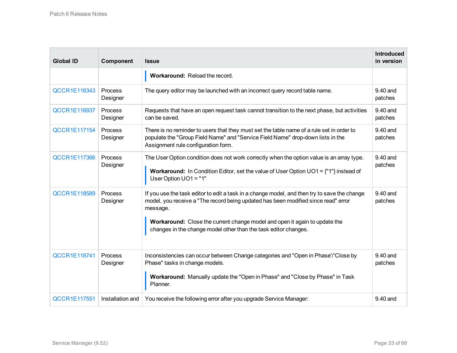| <b>Global ID</b>    | Component           | <b>Issue</b>                                                                                                                                                                                                                                                                                                                                    | <b>Introduced</b><br>in version |
|---------------------|---------------------|-------------------------------------------------------------------------------------------------------------------------------------------------------------------------------------------------------------------------------------------------------------------------------------------------------------------------------------------------|---------------------------------|
|                     |                     | Workaround: Reload the record.                                                                                                                                                                                                                                                                                                                  |                                 |
| <b>QCCR1E116343</b> | Process<br>Designer | The query editor may be launched with an incorrect query record table name.                                                                                                                                                                                                                                                                     | 9.40 and<br>patches             |
| <b>QCCR1E116937</b> | Process<br>Designer | Requests that have an open request task cannot transition to the next phase, but activities<br>can be saved.                                                                                                                                                                                                                                    | 9.40 and<br>patches             |
| <b>QCCR1E117154</b> | Process<br>Designer | There is no reminder to users that they must set the table name of a rule set in order to<br>populate the "Group Field Name" and "Service Field Name" drop-down lists in the<br>Assignment rule configuration form.                                                                                                                             | 9.40 and<br>patches             |
| <b>QCCR1E117366</b> | Process<br>Designer | The User Option condition does not work correctly when the option value is an array type.<br><b>Workaround:</b> In Condition Editor, set the value of User Option UO1 = {"1"} instead of<br>User Option UO1 = "1"                                                                                                                               | 9.40 and<br>patches             |
| <b>QCCR1E118589</b> | Process<br>Designer | If you use the task editor to edit a task in a change model, and then try to save the change<br>model, you receive a "The record being updated has been modified since read" error<br>message.<br>Workaround: Close the current change model and open it again to update the<br>changes in the change model other than the task editor changes. | 9.40 and<br>patches             |
| <b>QCCR1E118741</b> | Process<br>Designer | Inconsistencies can occur between Change categories and "Open in Phase'/'Close by<br>Phase" tasks in change models.<br>Workaround: Manually update the "Open in Phase" and "Close by Phase" in Task<br>Planner.                                                                                                                                 | 9.40 and<br>patches             |
| <b>QCCR1E117551</b> | Installation and    | You receive the following error after you upgrade Service Manager:                                                                                                                                                                                                                                                                              | 9.40 and                        |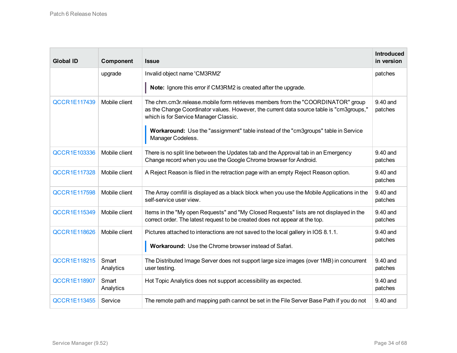| <b>Global ID</b>    | Component          | <b>Issue</b>                                                                                                                                                                                                         | <b>Introduced</b><br>in version |
|---------------------|--------------------|----------------------------------------------------------------------------------------------------------------------------------------------------------------------------------------------------------------------|---------------------------------|
|                     | upgrade            | Invalid object name 'CM3RM2'                                                                                                                                                                                         | patches                         |
|                     |                    | Note: Ignore this error if CM3RM2 is created after the upgrade.                                                                                                                                                      |                                 |
| <b>QCCR1E117439</b> | Mobile client      | The chm.cm3r.release.mobile form retrieves members from the "COORDINATOR" group<br>as the Change Coordinator values. However, the current data source table is "cm3groups,"<br>which is for Service Manager Classic. | 9.40 and<br>patches             |
|                     |                    | <b>Workaround:</b> Use the "assignment" table instead of the "cm3groups" table in Service<br>Manager Codeless.                                                                                                       |                                 |
| QCCR1E103336        | Mobile client      | There is no split line between the Updates tab and the Approval tab in an Emergency<br>Change record when you use the Google Chrome browser for Android.                                                             | 9.40 and<br>patches             |
| <b>QCCR1E117328</b> | Mobile client      | A Reject Reason is filed in the retraction page with an empty Reject Reason option.                                                                                                                                  | 9.40 and<br>patches             |
| <b>QCCR1E117598</b> | Mobile client      | The Array comfill is displayed as a black block when you use the Mobile Applications in the<br>self-service user view.                                                                                               | 9.40 and<br>patches             |
| <b>QCCR1E115349</b> | Mobile client      | Items in the "My open Requests" and "My Closed Requests" lists are not displayed in the<br>correct order. The latest request to be created does not appear at the top.                                               | 9.40 and<br>patches             |
| <b>QCCR1E118626</b> | Mobile client      | Pictures attached to interactions are not saved to the local gallery in IOS 8.1.1.<br>Workaround: Use the Chrome browser instead of Safari.                                                                          | 9.40 and<br>patches             |
| <b>QCCR1E118215</b> | Smart<br>Analytics | The Distributed Image Server does not support large size images (over 1MB) in concurrent<br>user testing.                                                                                                            | 9.40 and<br>patches             |
| <b>QCCR1E118907</b> | Smart<br>Analytics | Hot Topic Analytics does not support accessibility as expected.                                                                                                                                                      | 9.40 and<br>patches             |
| <b>QCCR1E113455</b> | Service            | The remote path and mapping path cannot be set in the File Server Base Path if you do not                                                                                                                            | 9.40 and                        |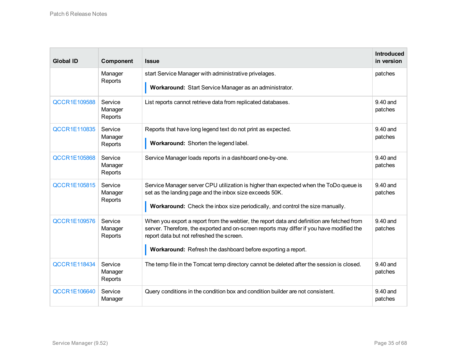| <b>Global ID</b>    | Component                     | <b>Issue</b>                                                                                                                                                                                                                                                                                         | <b>Introduced</b><br>in version |
|---------------------|-------------------------------|------------------------------------------------------------------------------------------------------------------------------------------------------------------------------------------------------------------------------------------------------------------------------------------------------|---------------------------------|
|                     | Manager<br>Reports            | start Service Manager with administrative privelages.<br>Workaround: Start Service Manager as an administrator.                                                                                                                                                                                      | patches                         |
| <b>QCCR1E109588</b> | Service<br>Manager<br>Reports | List reports cannot retrieve data from replicated databases.                                                                                                                                                                                                                                         | 9.40 and<br>patches             |
| <b>QCCR1E110835</b> | Service<br>Manager<br>Reports | Reports that have long legend text do not print as expected.<br>Workaround: Shorten the legend label.                                                                                                                                                                                                | 9.40 and<br>patches             |
| <b>QCCR1E105868</b> | Service<br>Manager<br>Reports | Service Manager loads reports in a dashboard one-by-one.                                                                                                                                                                                                                                             | 9.40 and<br>patches             |
| <b>QCCR1E105815</b> | Service<br>Manager<br>Reports | Service Manager server CPU utilization is higher than expected when the ToDo queue is<br>set as the landing page and the inbox size exceeds 50K.<br>Workaround: Check the inbox size periodically, and control the size manually.                                                                    | 9.40 and<br>patches             |
| <b>QCCR1E109576</b> | Service<br>Manager<br>Reports | When you export a report from the webtier, the report data and definition are fetched from<br>server. Therefore, the exported and on-screen reports may differ if you have modified the<br>report data but not refreshed the screen.<br>Workaround: Refresh the dashboard before exporting a report. | 9.40 and<br>patches             |
| <b>QCCR1E118434</b> | Service<br>Manager<br>Reports | The temp file in the Tomcat temp directory cannot be deleted after the session is closed.                                                                                                                                                                                                            | 9.40 and<br>patches             |
| QCCR1E106640        | Service<br>Manager            | Query conditions in the condition box and condition builder are not consistent.                                                                                                                                                                                                                      | 9.40 and<br>patches             |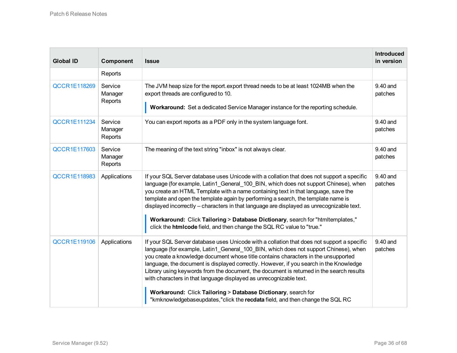| <b>Global ID</b>    | Component                     | <b>Issue</b>                                                                                                                                                                                                                                                                                                                                                                                                                                                                                                                                                                                                          | <b>Introduced</b><br>in version |
|---------------------|-------------------------------|-----------------------------------------------------------------------------------------------------------------------------------------------------------------------------------------------------------------------------------------------------------------------------------------------------------------------------------------------------------------------------------------------------------------------------------------------------------------------------------------------------------------------------------------------------------------------------------------------------------------------|---------------------------------|
|                     | Reports                       |                                                                                                                                                                                                                                                                                                                                                                                                                                                                                                                                                                                                                       |                                 |
| <b>QCCR1E118269</b> | Service<br>Manager<br>Reports | The JVM heap size for the report export thread needs to be at least 1024MB when the<br>export threads are configured to 10.<br>Workaround: Set a dedicated Service Manager instance for the reporting schedule.                                                                                                                                                                                                                                                                                                                                                                                                       | 9.40 and<br>patches             |
| <b>QCCR1E111234</b> | Service<br>Manager<br>Reports | You can export reports as a PDF only in the system language font.                                                                                                                                                                                                                                                                                                                                                                                                                                                                                                                                                     | 9.40 and<br>patches             |
| <b>QCCR1E117603</b> | Service<br>Manager<br>Reports | The meaning of the text string "inbox" is not always clear.                                                                                                                                                                                                                                                                                                                                                                                                                                                                                                                                                           | 9.40 and<br>patches             |
| QCCR1E118983        | Applications                  | If your SQL Server database uses Unicode with a collation that does not support a specific<br>language (for example, Latin1_General_100_BIN, which does not support Chinese), when<br>you create an HTML Template with a name containing text in that language, save the<br>template and open the template again by performing a search, the template name is<br>displayed incorrectly – characters in that language are displayed as unrecognizable text.<br>Workaround: Click Tailoring > Database Dictionary, search for "htmltemplates,"<br>click the htmlcode field, and then change the SQL RC value to "true." | 9.40 and<br>patches             |
| <b>QCCR1E119106</b> | Applications                  | If your SQL Server database uses Unicode with a collation that does not support a specific<br>language (for example, Latin1_General_100_BIN, which does not support Chinese), when<br>you create a knowledge document whose title contains characters in the unsupported<br>language, the document is displayed correctly. However, if you search in the Knowledge<br>Library using keywords from the document, the document is returned in the search results<br>with characters in that language displayed as unrecognizable text.<br>Workaround: Click Tailoring > Database Dictionary, search for                 | 9.40 and<br>patches             |
|                     |                               | "kmknowledgebaseupdates,"click the recdata field, and then change the SQL RC                                                                                                                                                                                                                                                                                                                                                                                                                                                                                                                                          |                                 |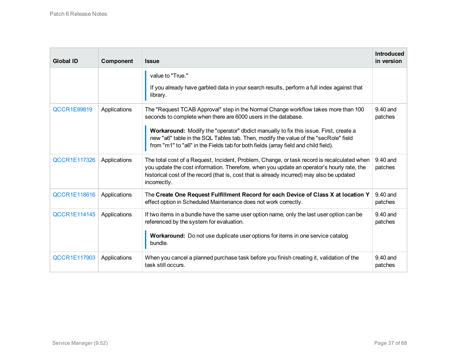| <b>Global ID</b>    | Component    | <b>Issue</b>                                                                                                                                                                                                                                                                                                                                                                                                                     | <b>Introduced</b><br>in version |
|---------------------|--------------|----------------------------------------------------------------------------------------------------------------------------------------------------------------------------------------------------------------------------------------------------------------------------------------------------------------------------------------------------------------------------------------------------------------------------------|---------------------------------|
|                     |              | value to "True."<br>If you already have garbled data in your search results, perform a full index against that<br>library.                                                                                                                                                                                                                                                                                                       |                                 |
| <b>QCCR1E89819</b>  | Applications | The "Request TCAB Approval" step in the Normal Change workflow takes more than 100<br>seconds to complete when there are 6000 users in the database.<br><b>Workaround:</b> Modify the "operator" dbdict manually to fix this issue. First, create a<br>new "a6" table in the SQL Tables tab. Then, modify the value of the "secRole" field<br>from "m1" to "a6" in the Fields tab for both fields (array field and child field). | $9.40$ and<br>patches           |
| <b>QCCR1E117326</b> | Applications | The total cost of a Request, Incident, Problem, Change, or task record is recalculated when<br>you update the cost information. Therefore, when you update an operator's hourly rate, the<br>historical cost of the record (that is, cost that is already incurred) may also be updated<br>incorrectly.                                                                                                                          | 9.40 and<br>patches             |
| <b>QCCR1E118616</b> | Applications | The Create One Request Fulfillment Record for each Device of Class X at location Y<br>effect option in Scheduled Maintenance does not work correctly.                                                                                                                                                                                                                                                                            | 9.40 and<br>patches             |
| <b>QCCR1E114145</b> | Applications | If two items in a bundle have the same user option name, only the last user option can be<br>referenced by the system for evaluation.<br>Workaround: Do not use duplicate user options for items in one service catalog<br>bundle.                                                                                                                                                                                               | 9.40 and<br>patches             |
| <b>QCCR1E117903</b> | Applications | When you cancel a planned purchase task before you finish creating it, validation of the<br>task still occurs.                                                                                                                                                                                                                                                                                                                   | $9.40$ and<br>patches           |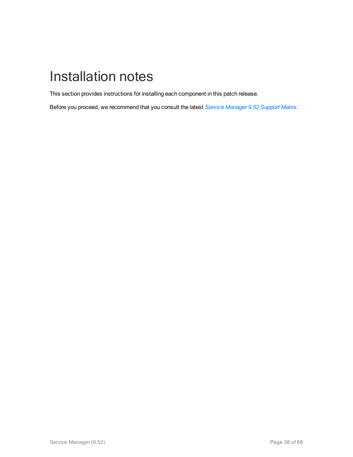# <span id="page-37-0"></span>Installation notes

This section provides instructions for installing each component in this patch release.

Before you proceed, we recommend that you consult the latest *Service [Manager](https://docs.software.hpe.com/SM/9.52/Codeless/Content/install/support_matrix/support_matrix.htm) 9.52 Support Matrix*.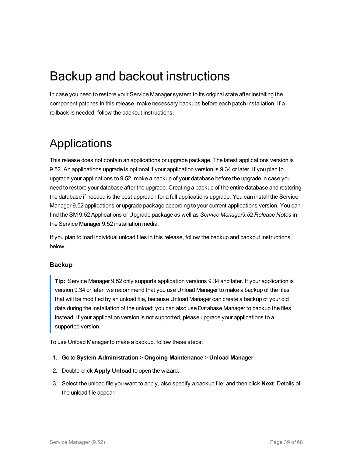### <span id="page-38-0"></span>Backup and backout instructions

In case you need to restore your Service Manager system to its original state after installing the component patches in this release, make necessary backups before each patch installation. If a rollback is needed, follow the backout instructions.

### <span id="page-38-1"></span>Applications

This release does not contain an applications or upgrade package. The latest applications version is 9.52. An applications upgrade is optional if your application version is 9.34 or later. If you plan to upgrade your applications to 9.52, make a backup of your database before the upgrade in case you need to restore your database after the upgrade. Creating a backup of the entire database and restoring the database if needed is the best approach for a full applications upgrade. You can install the Service Manager 9.52 applications or upgrade package according to your current applications version. You can find the SM 9.52 Applications or Upgrade package as well as *Service Manager9.52 Release Notes* in the Service Manager 9.52 installation media.

If you plan to load individual unload files in this release, follow the backup and backout instructions below.

#### **Backup**

**Tip:** Service Manager 9.52 only supports application versions 9.34 and later. If your application is version 9.34 or later, we recommend that you use Unload Manager to make a backup of the files that will be modified by an unload file, because Unload Manager can create a backup of your old data during the installation of the unload; you can also use Database Manager to backup the files instead. If your application version is not supported, please upgrade your applications to a supported version.

To use Unload Manager to make a backup, follow these steps:

- 1. Go to **System Administration** > **Ongoing Maintenance** > **Unload Manager**.
- 2. Double-click **Apply Unload** to open the wizard.
- 3. Select the unload file you want to apply, also specify a backup file, and then click **Next**. Details of the unload file appear.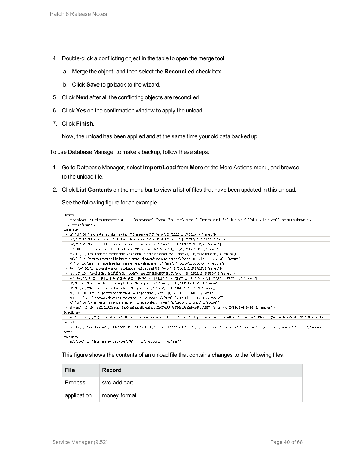- 4. Double-click a conflicting object in the table to open the merge tool:
	- a. Merge the object, and then select the **Reconciled** check box.
	- b. Click **Save** to go back to the wizard.
- 5. Click **Next** after all the conflicting objects are reconciled.
- 6. Click **Yes** on the confirmation window to apply the unload.
- 7. Click **Finish**.

Now, the unload has been applied and at the same time your old data backed up.

To use Database Manager to make a backup, follow these steps:

- 1. Go to Database Manager, select **Import/Load** from **More** or the More Actions menu, and browse to the unload file.
- 2. Click **List Contents** on the menu bar to view a list of files that have been updated in this unload.

See the following figure for an example.

| <b>Process</b>                                                                                                                                                                                               |
|--------------------------------------------------------------------------------------------------------------------------------------------------------------------------------------------------------------|
| {["svc.add.cart", {\$L.callnextprocess=true}, {}, {{["se.get.record", {"name", "file", "text", "string1"}, {"incident.id in \$L.file", "\$L.svcCart", "\"sdID\"", "\"svcCart\""}, not null(incident.id in \$ |
| RAD - money.format (10)                                                                                                                                                                                      |
| scmessage                                                                                                                                                                                                    |
| {["cs", "10", 20, "Neopravitelná chyba v aplikaci: %S na panelu %S", "error", {}, '02/28/12 15:33:24', 4, "ramuro"]}                                                                                         |
| {["de", "10", 20, "Nicht behebbarer Fehler in der Anwendung: %S auf Feld %S", "error", {}, '02/28/12 15:33:32', 3, "ramuro"]}                                                                                |
| {["en", "10", 20, "Unrecoverable error in application: %S on panel %S", "error", {}, '02/28/12 15:33:12', 66, "ramuro"}}                                                                                     |
| {["es", "10", 20, "Error irrecuperable en la aplicación: %5 en panel %5", "error", {}, '02/28/12 15:33:36', 5, "ramuro"]}-                                                                                   |
| {["fr", "10", 20, "Erreur non récupérable dans l'application : %S sur le panneau %S", "error", {}, '02/28/12 15:33:46', 3, "ramuro"]}                                                                        |
| {["hu", "10", 20, "Visszaállíthatatlan hiba lépett fel az %5-alkalmazásban a %5 panelen", "error", {}, '02/28/12 15:33:51', 3, "ramuro"]}                                                                    |
| {["it", "10", 20, "Errore irreversibile nell'applicazione: %5 nel riquadro %5", "error", {}, '02/28/12 15:35:08', 3, "ramuro"]}                                                                              |
| {["iten", "10", 20, "Unrecoverable error in application: %5 on panel %5", "error", {}, '02/28/12 15:35:23', 3, "ramuro"]}                                                                                    |
| {["ja", "10", 20, "sAsvsŠsPq̃[sVsẼsűSASt̀TñčtčsČ\\sGsTq̃[(spslsZ%S[2]kãSt̃%S[1])", "error", {}, '02/28/12 15:35:34', 3, "ramuro"]}}                                                                          |
| {["ko", "10", 20, "머플리케이션에 복구할 수 없는 오류 %S이(가) 패널 %S에서 발생했습니다.", "error", {}, '02/28/12 15:35:44', 3, "ramuro"]}                                                                                              |
| {["nl", "10", 20, "Unrecoverable error in application: %S on panel %S", "error", {}, '02/28/12 15:35:51', 3, "ramuro"]}                                                                                      |
| {["pl", "10", 20, "\"Nieodwracalny biId w aplikacji: %5, panel %5.\"", "error", {}, '02/28/12 15:36:01', 3, "ramuro"]}                                                                                       |
| {["pt", "10", 20, "Erro irrecuperável no aplicativo: %S no painel %S", "error", {}, '02/28/12 15:36:14', 3, "ramuro"]}                                                                                       |
| {["pt-Br", "10", 20, "Unrecoverable error in application: %5 on panel %5", "error", {}, '02/28/12 15:36:24', 3, "ramuro"]}                                                                                   |
| {["ru", "10", 20, "Unrecoverable error in application: %5 on panel %5", "error", {}, '02/28/12 15:36:35', 3, "ramuro"]}                                                                                      |
| {["zh-Hans", "10", 20, "åaČcČŪcŪŻåąkäylåĚąců×äąăäyŮåkIJæğ¢åŁŮcšĬéČňèUU: %SīĖěäLŮäąůéŘ¢æŘ¿ %SīĖŢ", "error", {}, '03/14/13 01:34:16', 5, "Imingyan"]}-                                                         |
| ScriptLibrary                                                                                                                                                                                                |
| {["svcCartHelper", "/** @fileoverview svcCartHelper - contains functions used by the Service Catalog module when dealing with svcCart and svcCartItems* @author Alex Corvino*//** This function i            |
| datadict                                                                                                                                                                                                     |
| {["activity", {}, "miscellaneous", , , "FALCON", '01/21/96 17:00:00', "cblanck", '06/19/07 00:58:57', , , , , {"cust.visible", "datestamp", "description", "neqdatestamp", "number", "operator", "syshom     |
| activity                                                                                                                                                                                                     |

scmessage

{["en", "1000", 10, "Please specify Area name", "fc", {}, '12/01/10 09:33:44', 0, "rolfel"]}

#### This figure shows the contents of an unload file that contains changes to the following files.

| File        | <b>Record</b> |
|-------------|---------------|
| Process     | svc.add.cart  |
| application | money.format  |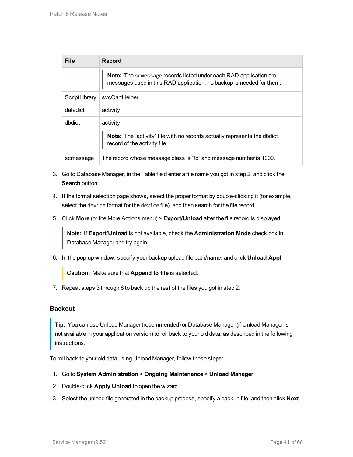| <b>File</b>   | Record                                                                                                                                    |
|---------------|-------------------------------------------------------------------------------------------------------------------------------------------|
|               | Note: The scmessage records listed under each RAD application are<br>messages used in this RAD application; no backup is needed for them. |
| ScriptLibrary | svcCartHelper                                                                                                                             |
| datadict      | activity                                                                                                                                  |
| dbdict        | activity<br><b>Note:</b> The "activity" file with no records actually represents the dbdict<br>record of the activity file.               |
| scmessage     | The record whose message class is "fc" and message number is 1000.                                                                        |

- 3. Go to Database Manager, in the Table field enter a file name you got in step 2, and click the **Search** button.
- 4. If the format selection page shows, select the proper format by double-clicking it (for example, select the device format for the device file), and then search for the file record.
- 5. Click **More** (or the More Actions menu) > **Export/Unload** after the file record is displayed.

**Note:** If **Export/Unload** is not available, check the **Administration Mode** check box in Database Manager and try again.

6. In the pop-up window, specify your backup upload file path/name, and click **Unload Appl**.

**Caution:** Make sure that **Append to file** is selected.

7. Repeat steps 3 through 6 to back up the rest of the files you got in step 2.

#### **Backout**

**Tip:** You can use Unload Manager (recommended) or Database Manager (if Unload Manager is not available in your application version) to roll back to your old data, as described in the following instructions.

To roll back to your old data using Unload Manager, follow these steps:

- 1. Go to **System Administration** > **Ongoing Maintenance** > **Unload Manager**.
- 2. Double-click **Apply Unload** to open the wizard.
- 3. Select the unload file generated in the backup process, specify a backup file, and then click **Next**.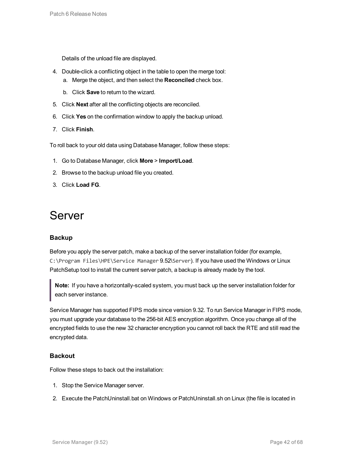Details of the unload file are displayed.

- 4. Double-click a conflicting object in the table to open the merge tool:
	- a. Merge the object, and then select the **Reconciled** check box.
	- b. Click **Save** to return to the wizard.
- 5. Click **Next** after all the conflicting objects are reconciled.
- 6. Click **Yes** on the confirmation window to apply the backup unload.
- 7. Click **Finish**.

To roll back to your old data using Database Manager, follow these steps:

- 1. Go to Database Manager, click **More** > **Import/Load**.
- 2. Browse to the backup unload file you created.
- <span id="page-41-0"></span>3. Click **Load FG**.

### Server

#### **Backup**

Before you apply the server patch, make a backup of the server installation folder (for example, C:\Program Files\HPE\Service Manager 9.52\Server). If you have used the Windows or Linux PatchSetup tool to install the current server patch, a backup is already made by the tool.

**Note:** If you have a horizontally-scaled system, you must back up the server installation folder for each server instance.

Service Manager has supported FIPS mode since version 9.32. To run Service Manager in FIPS mode, you must upgrade your database to the 256-bit AES encryption algorithm. Once you change all of the encrypted fields to use the new 32 character encryption you cannot roll back the RTE and still read the encrypted data.

#### **Backout**

Follow these steps to back out the installation:

- 1. Stop the Service Manager server.
- 2. Execute the PatchUninstall.bat on Windows or PatchUninstall.sh on Linux (the file is located in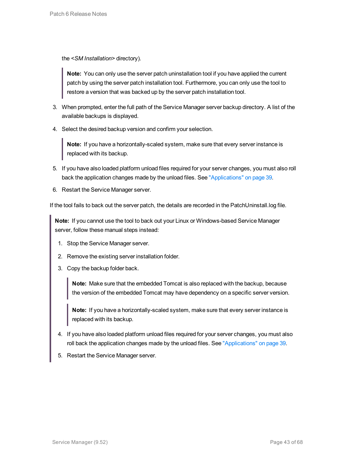the *<SM Installation>* directory).

**Note:** You can only use the server patch uninstallation tool if you have applied the current patch by using the server patch installation tool. Furthermore, you can only use the tool to restore a version that was backed up by the server patch installation tool.

- 3. When prompted, enter the full path of the Service Manager server backup directory. A list of the available backups is displayed.
- 4. Select the desired backup version and confirm your selection.

**Note:** If you have a horizontally-scaled system, make sure that every server instance is replaced with its backup.

- 5. If you have also loaded platform unload files required for your server changes, you must also roll back the application changes made by the unload files. See ["Applications"](#page-38-1) on page 39.
- 6. Restart the Service Manager server.

If the tool fails to back out the server patch, the details are recorded in the PatchUninstall.log file.

**Note:** If you cannot use the tool to back out your Linux or Windows-based Service Manager server, follow these manual steps instead:

- 1. Stop the Service Manager server.
- 2. Remove the existing server installation folder.
- 3. Copy the backup folder back.

**Note:** Make sure that the embedded Tomcat is also replaced with the backup, because the version of the embedded Tomcat may have dependency on a specific server version.

**Note:** If you have a horizontally-scaled system, make sure that every server instance is replaced with its backup.

- 4. If you have also loaded platform unload files required for your server changes, you must also roll back the application changes made by the unload files. See ["Applications"](#page-38-1) on page 39.
- 5. Restart the Service Manager server.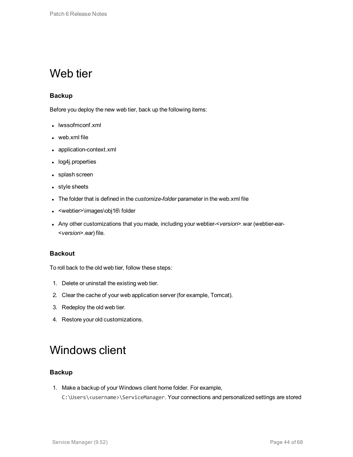### <span id="page-43-0"></span>Web tier

#### **Backup**

Before you deploy the new web tier, back up the following items:

- $\cdot$  lwssofmconf.xml
- $\bullet$  web.xml file
- application-context.xml
- log4j.properties
- splash screen
- style sheets
- The folder that is defined in the *customize-folder* parameter in the web.xml file
- <webtier>\images\obj16\ folder
- <sup>l</sup> Any other customizations that you made, including your webtier-<*version*>.war (webtier-ear- <*version*>.ear) file.

#### **Backout**

To roll back to the old web tier, follow these steps:

- 1. Delete or uninstall the existing web tier.
- 2. Clear the cache of your web application server (for example, Tomcat).
- 3. Redeploy the old web tier.
- <span id="page-43-1"></span>4. Restore your old customizations.

### Windows client

#### **Backup**

1. Make a backup of your Windows client home folder. For example, C:\Users\<username>\ServiceManager. Your connections and personalized settings are stored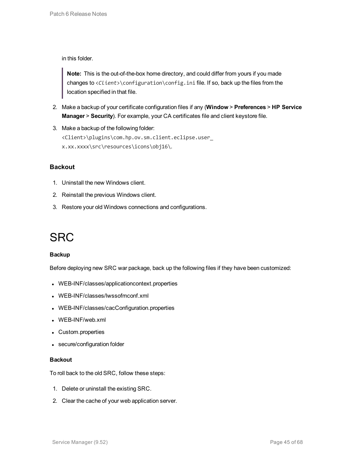in this folder.

**Note:** This is the out-of-the-box home directory, and could differ from yours if you made changes to <*Client*>\configuration\config.ini file. If so, back up the files from the location specified in that file.

- 2. Make a backup of your certificate configuration files if any (**Window** > **Preferences** > **HP Service Manager** > **Security**). For example, your CA certificates file and client keystore file.
- 3. Make a backup of the following folder: <Client>\plugins\com.hp.ov.sm.client.eclipse.user\_ x.xx.xxxx\src\resources\icons\obj16\.

#### **Backout**

- 1. Uninstall the new Windows client.
- 2. Reinstall the previous Windows client.
- <span id="page-44-0"></span>3. Restore your old Windows connections and configurations.

### **SRC**

#### **Backup**

Before deploying new SRC war package, back up the following files if they have been customized:

- WEB-INF/classes/applicationcontext.properties
- WEB-INF/classes/lwssofmconf.xml
- WEB-INF/classes/cacConfiguration.properties
- WEB-INF/web.xml
- Custom.properties
- secure/configuration folder

#### **Backout**

To roll back to the old SRC, follow these steps:

- 1. Delete or uninstall the existing SRC.
- 2. Clear the cache of your web application server.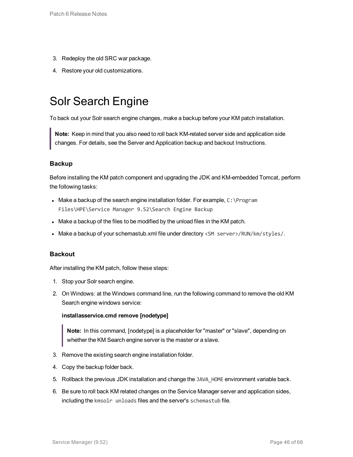- 3. Redeploy the old SRC war package.
- <span id="page-45-0"></span>4. Restore your old customizations.

### Solr Search Engine

To back out your Solr search engine changes, make a backup before your KM patch installation.

**Note:** Keep in mind that you also need to roll back KM-related server side and application side changes. For details, see the Server and Application backup and backout Instructions.

#### **Backup**

Before installing the KM patch component and upgrading the JDK and KM-embedded Tomcat, perform the following tasks:

- Make a backup of the search engine installation folder. For example,  $C:\P$ rogram Files\HPE\Service Manager 9.52\Search Engine Backup
- Make a backup of the files to be modified by the unload files in the KM patch.
- Make a backup of your schemastub.xml file under directory <SM server>/RUN/km/styles/.

#### **Backout**

After installing the KM patch, follow these steps:

- 1. Stop your Solr search engine.
- 2. On Windows: at the Windows command line, run the following command to remove the old KM Search engine windows service:

#### **installasservice.cmd remove [nodetype]**

**Note:** In this command, [nodetype] is a placeholder for "master" or "slave", depending on whether the KM Search engine server is the master or a slave.

- 3. Remove the existing search engine installation folder.
- 4. Copy the backup folder back.
- 5. Rollback the previous JDK installation and change the JAVA HOME environment variable back.
- 6. Be sure to roll back KM related changes on the Service Manager server and application sides, including the kmsolr unloads files and the server's schemastub file.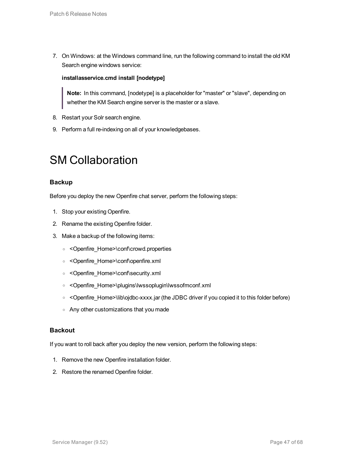7. On Windows: at the Windows command line, run the following command to install the old KM Search engine windows service:

#### **installasservice.cmd install [nodetype]**

**Note:** In this command, [nodetype] is a placeholder for "master" or "slave", depending on whether the KM Search engine server is the master or a slave.

- 8. Restart your Solr search engine.
- <span id="page-46-0"></span>9. Perform a full re-indexing on all of your knowledgebases.

### SM Collaboration

#### **Backup**

Before you deploy the new Openfire chat server, perform the following steps:

- 1. Stop your existing Openfire.
- 2. Rename the existing Openfire folder.
- 3. Make a backup of the following items:
	- <sup>o</sup> <Openfire\_Home>\conf\crowd.properties
	- <sup>o</sup> <Openfire\_Home>\conf\openfire.xml
	- <sup>o</sup> <Openfire\_Home>\conf\security.xml
	- <sup>o</sup> <Openfire\_Home>\plugins\lwssoplugin\lwssofmconf.xml
	- < Openfire\_Home>\lib\ojdbc-xxxx.jar (the JDBC driver if you copied it to this folder before)
	- <sup>o</sup> Any other customizations that you made

#### **Backout**

If you want to roll back after you deploy the new version, perform the following steps:

- 1. Remove the new Openfire installation folder.
- 2. Restore the renamed Openfire folder.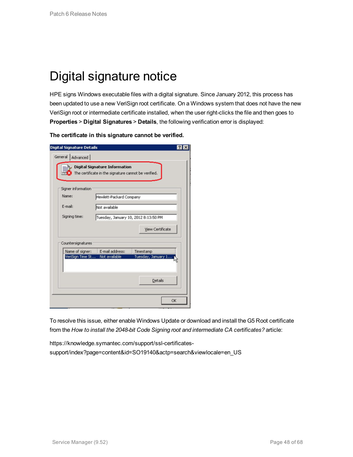## <span id="page-47-0"></span>Digital signature notice

HPE signs Windows executable files with a digital signature. Since January 2012, this process has been updated to use a new VeriSign root certificate. On a Windows system that does not have the new VeriSign root or intermediate certificate installed, when the user right-clicks the file and then goes to **Properties** > **Digital Signatures** > **Details**, the following verification error is displayed:

**The certificate in this signature cannot be verified.**

| <b>Digital Signature Details</b> |                                                                                              | ?                       |  |
|----------------------------------|----------------------------------------------------------------------------------------------|-------------------------|--|
| General<br>Advanced              |                                                                                              |                         |  |
| 辱笑                               | <b>Digital Signature Information</b><br>The certificate in the signature cannot be verified. |                         |  |
| Signer information               |                                                                                              |                         |  |
| Name:                            | Hewlett-Packard Company                                                                      |                         |  |
| E-mail:                          | Not available                                                                                |                         |  |
| Signing time:                    | Tuesday, January 10, 2012 8:13:50 PM                                                         |                         |  |
|                                  |                                                                                              | <b>View Certificate</b> |  |
| Countersignatures                |                                                                                              |                         |  |
| Name of signer:                  | E-mail address:                                                                              | Timestamp               |  |
| VeriSign Time St                 | Not available                                                                                | Tuesday, January 1      |  |
|                                  |                                                                                              | <b>Details</b>          |  |
|                                  |                                                                                              | <b>OK</b>               |  |

To resolve this issue, either enable Windows Update or download and install the G5 Root certificate from the *How to install the 2048-bit Code Signing root and intermediate CA certificates?* article:

https://knowledge.symantec.com/support/ssl-certificatessupport/index?page=content&id=SO19140&actp=search&viewlocale=en\_US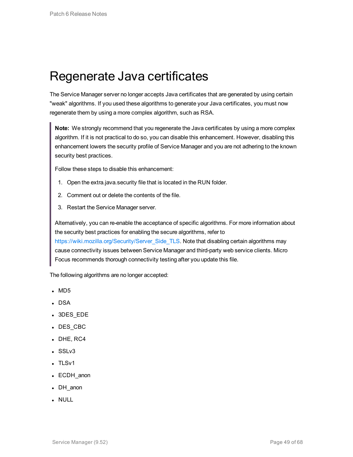### <span id="page-48-0"></span>Regenerate Java certificates

The Service Manager server no longer accepts Java certificates that are generated by using certain "weak" algorithms. If you used these algorithms to generate your Java certificates, you must now regenerate them by using a more complex algorithm, such as RSA.

**Note:** We strongly recommend that you regenerate the Java certificates by using a more complex algorithm. If it is not practical to do so, you can disable this enhancement. However, disabling this enhancement lowers the security profile of Service Manager and you are not adhering to the known security best practices.

Follow these steps to disable this enhancement:

- 1. Open the extra.java.security file that is located in the RUN folder.
- 2. Comment out or delete the contents of the file.
- 3. Restart the Service Manager server.

Alternatively, you can re-enable the acceptance of specific algorithms. For more information about the security best practices for enabling the secure algorithms, refer to [https://wiki.mozilla.org/Security/Server\\_Side\\_TLS](https://wiki.mozilla.org/Security/Server_Side_TLS). Note that disabling certain algorithms may cause connectivity issues between Service Manager and third-party web service clients. Micro Focus recommends thorough connectivity testing after you update this file.

The following algorithms are no longer accepted:

- $\cdot$  MD5
- $\cdot$  DSA
- 3DES EDE
- DES\_CBC
- $\bullet$  DHE, RC4
- $-SSLv3$
- $\cdot$  TLSv1
- ECDH\_anon
- DH\_anon
- . NULL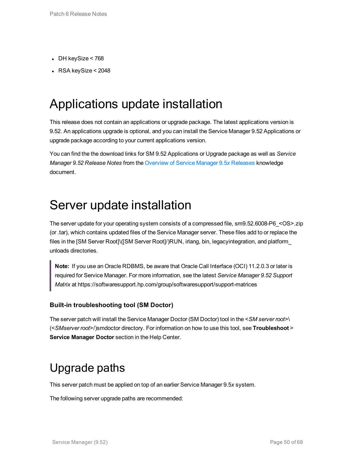- $\bullet$  DH keySize < 768
- <span id="page-49-0"></span> $\cdot$  RSA keySize < 2048

## Applications update installation

This release does not contain an applications or upgrade package. The latest applications version is 9.52. An applications upgrade is optional, and you can install the Service Manager 9.52 Applications or upgrade package according to your current applications version.

You can find the the download links for SM 9.52 Applications or Upgrade package as well as *Service Manager 9.52 Release Notes* from the [Overview](https://softwaresupport.softwaregrp.com/km/KM02688311) of Service Manager 9.5*x* Releases knowledge document.

### <span id="page-49-1"></span>Server update installation

The server update for your operating system consists of a compressed file, sm9.52.6008-P6\_<OS>.zip (or .tar), which contains updated files of the Service Manager server. These files add to or replace the files in the [SM Server Root]\([SM Server Root]/)RUN, irlang, bin, legacyintegration, and platform\_ unloads directories.

**Note:** If you use an Oracle RDBMS, be aware that Oracle Call Interface (OCI) 11.2.0.3 or later is required for Service Manager. For more information, see the latest *Service Manager 9.52 Support Matrix* at https://softwaresupport.hp.com/group/softwaresupport/support-matrices

#### **Built-in troubleshooting tool (SM Doctor)**

The server patch will install the Service Manager Doctor (SM Doctor) tool in the <*SM server root*>\ (<*SMserver root*>/)smdoctor directory. For information on how to use this tool, see **Troubleshoot** > **Service Manager Doctor** section in the Help Center.

### <span id="page-49-2"></span>Upgrade paths

This server patch must be applied on top of an earlier Service Manager 9.5*x* system.

The following server upgrade paths are recommended: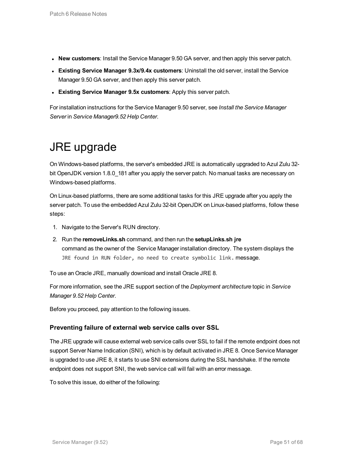- **New customers**: Install the Service Manager 9.50 GA server, and then apply this server patch.
- **Existing Service Manager 9.3x/9.4x customers: Uninstall the old server, install the Service 6.** Manager 9.50 GA server, and then apply this server patch.
- <sup>l</sup> **Existing Service Manager 9.5x customers**: Apply this server patch.

<span id="page-50-0"></span>For installation instructions for the Service Manager 9.50 server, see *Install the Service Manager Server* in *Service Manager9.52 Help Center*.

### JRE upgrade

On Windows-based platforms, the server's embedded JRE is automatically upgraded to Azul Zulu 32 bit OpenJDK version 1.8.0\_181 after you apply the server patch. No manual tasks are necessary on Windows-based platforms.

On Linux-based platforms, there are some additional tasks for this JRE upgrade after you apply the server patch. To use the embedded Azul Zulu 32-bit OpenJDK on Linux-based platforms, follow these steps:

- 1. Navigate to the Server's RUN directory.
- 2. Run the **removeLinks.sh** command, and then run the **setupLinks.sh jre** command as the owner of the Service Manager installation directory. The system displays the JRE found in RUN folder, no need to create symbolic link. message.

To use an Oracle JRE, manually download and install Oracle JRE 8.

For more information, see the JRE support section of the *Deployment architecture* topic in *Service Manager 9.52 Help Center*.

Before you proceed, pay attention to the following issues.

#### **Preventing failure of external web service calls over SSL**

The JRE upgrade will cause external web service calls over SSL to fail if the remote endpoint does not support Server Name Indication (SNI), which is by default activated in JRE 8. Once Service Manager is upgraded to use JRE 8, it starts to use SNI extensions during the SSL handshake. If the remote endpoint does not support SNI, the web service call will fail with an error message.

To solve this issue, do either of the following: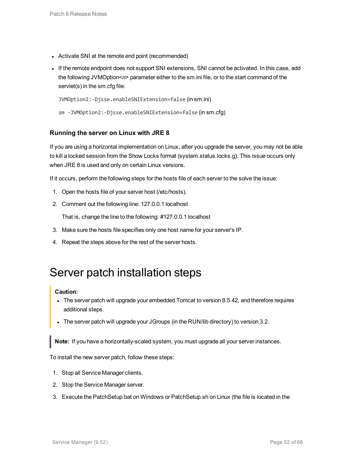- Activate SNI at the remote end point (recommended)
- If the remote endpoint does not support SNI extensions, SNI cannot be activated. In this case, add the following JVMOption<*n*> parameter either to the sm.ini file, or to the start command of the servlet(s) in the sm.cfg file:

```
JVMOption2:-Djsse.enableSNIExtension=false (in sm.ini)
sm -JVMOption2:-Djsse.enableSNIExtension=false (in sm.cfg)
```
#### **Running the server on Linux with JRE 8**

If you are using a horizontal implementation on Linux, after you upgrade the server, you may not be able to kill a locked session from the Show Locks format (system.status.locks.g). This issue occurs only when JRE 8 is used and only on certain Linux versions.

If it occurs, perform the following steps for the hosts file of each server to the solve the issue:

- 1. Open the hosts file of your server host (/etc/hosts).
- 2. Comment out the following line: 127.0.0.1 localhost

That is, change the line to the following: #127.0.0.1 localhost

- 3. Make sure the hosts file specifies only one host name for your server's IP.
- <span id="page-51-0"></span>4. Repeat the steps above for the rest of the server hosts.

### Server patch installation steps

#### **Caution:**

- The server patch will upgrade your embedded Tomcat to version 8.5.42, and therefore requires additional steps.
- The server patch will upgrade your JGroups (in the RUN/lib directory) to version 3.2.

**Note:** If you have a horizontally-scaled system, you must upgrade all your server instances.

To install the new server patch, follow these steps:

- 1. Stop all Service Manager clients.
- 2. Stop the Service Manager server.
- 3. Execute the PatchSetup.bat on Windows or PatchSetup.sh on Linux (the file is located in the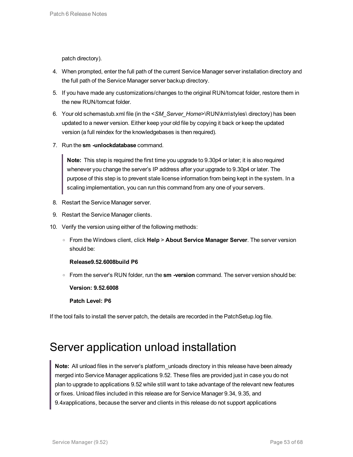patch directory).

- 4. When prompted, enter the full path of the current Service Manager server installation directory and the full path of the Service Manager server backup directory.
- 5. If you have made any customizations/changes to the original RUN/tomcat folder, restore them in the new RUN/tomcat folder.
- 6. Your old schemastub.xml file (in the <*SM\_Server\_Home*>\RUN\km\styles\ directory) has been updated to a newer version. Either keep your old file by copying it back or keep the updated version (a full reindex for the knowledgebases is then required).
- 7. Run the **sm -unlockdatabase** command.

**Note:** This step is required the first time you upgrade to 9.30p4 or later; it is also required whenever you change the server's IP address after your upgrade to 9.30p4 or later. The purpose of this step is to prevent stale license information from being kept in the system. In a scaling implementation, you can run this command from any one of your servers.

- 8. Restart the Service Manager server.
- 9. Restart the Service Manager clients.
- 10. Verify the version using either of the following methods:
	- <sup>o</sup> From the Windows client, click **Help** > **About Service Manager Server**. The server version should be:

#### **Release9.52.6008build P6**

<sup>o</sup> From the server's RUN folder, run the **sm -version** command. The server version should be:

**Version: 9.52.6008**

**Patch Level: P6**

<span id="page-52-0"></span>If the tool fails to install the server patch, the details are recorded in the PatchSetup.log file.

### Server application unload installation

**Note:** All unload files in the server's platform\_unloads directory in this release have been already merged into Service Manager applications 9.52. These files are provided just in case you do not plan to upgrade to applications 9.52 while still want to take advantage of the relevant new features or fixes. Unload files included in this release are for Service Manager 9.34, 9.35, and 9.4*x*applications, because the server and clients in this release do not support applications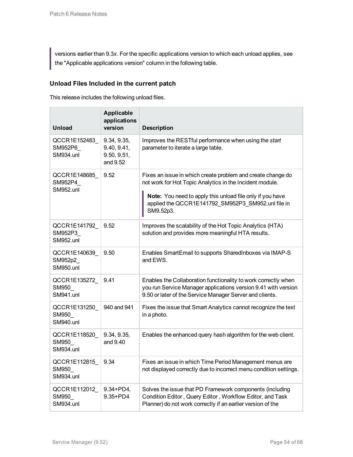versions earlier than 9.3*x*. For the specific applications version to which each unload applies, see the "Applicable applications version" column in the following table.

#### **Unload Files Included in the current patch**

This release includes the following unload files.

| <b>Unload</b>                                | Applicable<br>applications<br>version                 | <b>Description</b>                                                                                                                                                                                                                                      |  |
|----------------------------------------------|-------------------------------------------------------|---------------------------------------------------------------------------------------------------------------------------------------------------------------------------------------------------------------------------------------------------------|--|
| QCCR1E152483<br>SM952P6<br><b>SM934.unl</b>  | 9.34, 9.35,<br>9.40, 9.41,<br>9.50, 9.51,<br>and 9.52 | Improves the RESTful performance when using the start<br>parameter to iterate a large table.                                                                                                                                                            |  |
| QCCR1E148685<br>SM952P4<br><b>SM952.unl</b>  | 9.52                                                  | Fixes an issue in which create problem and create change do<br>not work for Hot Topic Analytics in the Incident module.<br>Note: You need to apply this unload file only if you have<br>applied the QCCR1E141792_SM952P3_SM952.unl file in<br>SM9.52p3. |  |
| QCCR1E141792_<br>SM952P3<br>SM952.unl        | 9.52                                                  | Improves the scalability of the Hot Topic Analytics (HTA)<br>solution and provides more meaningful HTA results.                                                                                                                                         |  |
| QCCR1E140639<br>SM952p2_<br><b>SM950.unl</b> | 9.50                                                  | Enables SmartEmail to supports SharedInboxes via IMAP-S<br>and EWS.                                                                                                                                                                                     |  |
| QCCR1E135272_<br>SM950<br>SM941.unl          | 9.41                                                  | Enables the Collaboration functionality to work correctly when<br>you run Service Manager applications version 9.41 with version<br>9.50 or later of the Service Manager Server and clients.                                                            |  |
| QCCR1E131250<br>SM950<br>SM940.unl           | 940 and 941                                           | Fixes the issue that Smart Analytics cannot recognize the text<br>in a photo.                                                                                                                                                                           |  |
| QCCR1E118520<br>SM950<br>SM934.unl           | 9.34, 9.35,<br>and 9.40                               | Enables the enhanced query hash algorithm for the web client.                                                                                                                                                                                           |  |
| QCCR1E112815<br>SM950_<br>SM934.unl          | 9.34                                                  | Fixes an issue in which Time Period Management menus are<br>not displayed correctly due to incorrect menu condition settings.                                                                                                                           |  |
| QCCR1E112012<br>SM950<br>SM934.unl           | $9.34 + PD4,$<br>9.35+PD4                             | Solves the issue that PD Framework components (including<br>Condition Editor, Query Editor, Workflow Editor, and Task<br>Planner) do not work correctly if an earlier version of the                                                                    |  |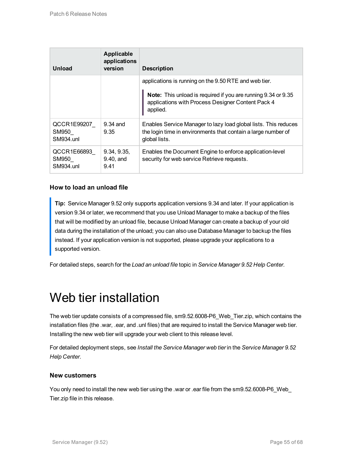| Unload                                   | Applicable<br>applications<br>version | <b>Description</b>                                                                                                                                                                      |  |
|------------------------------------------|---------------------------------------|-----------------------------------------------------------------------------------------------------------------------------------------------------------------------------------------|--|
|                                          |                                       | applications is running on the 9.50 RTE and web tier.<br>Note: This unload is required if you are running 9.34 or 9.35<br>applications with Process Designer Content Pack 4<br>applied. |  |
| QCCR1E99207<br>SM950<br><b>SM934.unl</b> | $9.34$ and<br>9.35                    | Enables Service Manager to lazy load global lists. This reduces<br>the login time in environments that contain a large number of<br>global lists.                                       |  |
| QCCR1E66893<br>SM950<br>SM934.unl        | 9.34, 9.35,<br>9.40, and<br>9.41      | Enables the Document Engine to enforce application-level<br>security for web service Retrieve requests.                                                                                 |  |

#### **How to load an unload file**

**Tip:** Service Manager 9.52 only supports application versions 9.34 and later. If your application is version 9.34 or later, we recommend that you use Unload Manager to make a backup of the files that will be modified by an unload file, because Unload Manager can create a backup of your old data during the installation of the unload; you can also use Database Manager to backup the files instead. If your application version is not supported, please upgrade your applications to a supported version.

<span id="page-54-0"></span>For detailed steps, search for the *Load an unload file* topic in *Service Manager 9.52 Help Center*.

### Web tier installation

The web tier update consists of a compressed file, sm9.52.6008-P6\_Web\_Tier.zip, which contains the installation files (the .war, .ear, and .unl files) that are required to install the Service Manager web tier. Installing the new web tier will upgrade your web client to this release level.

For detailed deployment steps, see *Install the Service Manager web tier* in the *Service Manager 9.52 Help Center*.

#### **New customers**

You only need to install the new web tier using the .war or .ear file from the sm9.52.6008-P6\_Web\_ Tier.zip file in this release.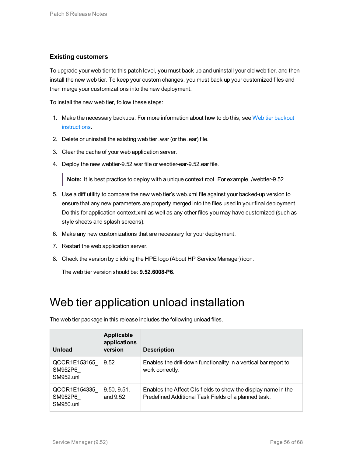#### **Existing customers**

To upgrade your web tier to this patch level, you must back up and uninstall your old web tier, and then install the new web tier. To keep your custom changes, you must back up your customized files and then merge your customizations into the new deployment.

To install the new web tier, follow these steps:

- 1. Make the necessary backups. For more information about how to do this, see Web tier [backout](#page-43-0) [instructions.](#page-43-0)
- 2. Delete or uninstall the existing web tier .war (or the .ear) file.
- 3. Clear the cache of your web application server.
- 4. Deploy the new webtier-9.52.war file or webtier-ear-9.52.ear file.

**Note:** It is best practice to deploy with a unique context root. For example, /webtier-9.52.

- 5. Use a diff utility to compare the new web tier's web.xml file against your backed-up version to ensure that any new parameters are properly merged into the files used in your final deployment. Do this for application-context.xml as well as any other files you may have customized (such as style sheets and splash screens).
- 6. Make any new customizations that are necessary for your deployment.
- 7. Restart the web application server.
- 8. Check the version by clicking the HPE logo (About HP Service Manager) icon.

<span id="page-55-0"></span>The web tier version should be: **9.52.6008-P6**.

### Web tier application unload installation

| Unload                                      | Applicable<br>applications<br>version | <b>Description</b>                                                                                                    |
|---------------------------------------------|---------------------------------------|-----------------------------------------------------------------------------------------------------------------------|
| QCCR1E153165<br>SM952P6<br><b>SM952.unl</b> | 9.52                                  | Enables the drill-down functionality in a vertical bar report to<br>work correctly.                                   |
| QCCR1E154335<br>SM952P6<br><b>SM950.unl</b> | 9.50, 9.51,<br>and 9.52               | Enables the Affect CIs fields to show the display name in the<br>Predefined Additional Task Fields of a planned task. |

The web tier package in this release includes the following unload files.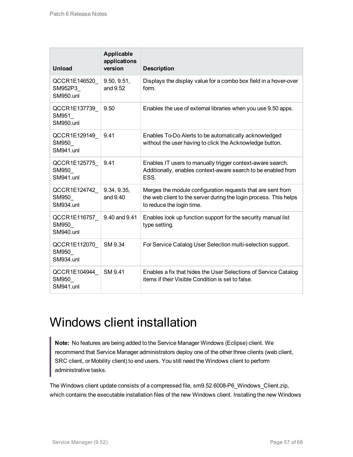| <b>Unload</b>                               | Applicable<br>applications<br>version | <b>Description</b>                                                                                                                                            |  |
|---------------------------------------------|---------------------------------------|---------------------------------------------------------------------------------------------------------------------------------------------------------------|--|
| QCCR1E146520<br>SM952P3<br><b>SM950.unl</b> | 9.50, 9.51,<br>and 9.52               | Displays the display value for a combo box field in a hover-over<br>form.                                                                                     |  |
| QCCR1E137739<br>SM951<br><b>SM950.unl</b>   | 9.50                                  | Enables the use of external libraries when you use 9.50 apps.                                                                                                 |  |
| QCCR1E129149<br>SM950<br><b>SM941.unl</b>   | 9.41                                  | Enables To-Do Alerts to be automatically acknowledged<br>without the user having to click the Acknowledge button.                                             |  |
| QCCR1E125775<br>SM950<br>SM941.unl          | 9.41                                  | Enables IT users to manually trigger context-aware search.<br>Additionally, enables context-aware search to be enabled from<br>ESS.                           |  |
| QCCR1E124742<br>SM950<br><b>SM934.unl</b>   | 9.34, 9.35,<br>and 9.40               | Merges the module configuration requests that are sent from<br>the web client to the server during the login process. This helps<br>to reduce the login time. |  |
| QCCR1E116757<br>SM950<br><b>SM940.unl</b>   | 9.40 and 9.41                         | Enables look up function support for the security manual list<br>type setting.                                                                                |  |
| QCCR1E112070<br>SM950<br><b>SM934.unl</b>   | SM 9.34                               | For Service Catalog User Selection multi-selection support.                                                                                                   |  |
| QCCR1E104944<br>SM950<br><b>SM941.unl</b>   | SM 9.41                               | Enables a fix that hides the User Selections of Service Catalog<br>items if their Visible Condition is set to false.                                          |  |

## <span id="page-56-0"></span>Windows client installation

**Note:** No features are being added to the Service Manager Windows (Eclipse) client. We recommend that Service Manager administrators deploy one of the other three clients (web client, SRC client, or Mobility client) to end users. You still need the Windows client to perform administrative tasks.

The Windows client update consists of a compressed file, sm9.52.6008-P6\_Windows\_Client.zip, which contains the executable installation files of the new Windows client. Installing the new Windows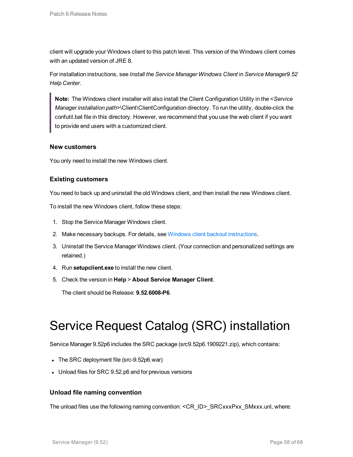client will upgrade your Windows client to this patch level. This version of the Windows client comes with an updated version of JRE 8.

For installation instructions, see *Install the Service Manager Windows Client* in *Service Manager9.52 Help Center*.

**Note:** The Windows client installer will also install the Client Configuration Utility in the <*Service Manager installation path*>\Client\ClientConfiguration directory. To run the utility, double-click the confutil.bat file in this directory. However, we recommend that you use the web client if you want to provide end users with a customized client.

#### **New customers**

You only need to install the new Windows client.

#### **Existing customers**

You need to back up and uninstall the old Windows client, and then install the new Windows client.

To install the new Windows client, follow these steps:

- 1. Stop the Service Manager Windows client.
- 2. Make necessary backups. For details, see Windows client backout [instructions](#page-43-1).
- 3. Uninstall the Service Manager Windows client. (Your connection and personalized settings are retained.)
- 4. Run **setupclient.exe** to install the new client.
- 5. Check the version in **Help** > **About Service Manager Client**.

<span id="page-57-0"></span>The client should be Release: **9.52.6008-P6**.

## Service Request Catalog (SRC) installation

Service Manager 9.52p6 includes the SRC package (src9.52p6.1909221.zip), which contains:

- The SRC deployment file (src-9.52p6.war)
- Unload files for SRC 9.52.p6 and for previous versions

#### **Unload file naming convention**

The unload files use the following naming convention: <CR\_ID>\_SRCxxxPxx\_SMxxx.unl, where: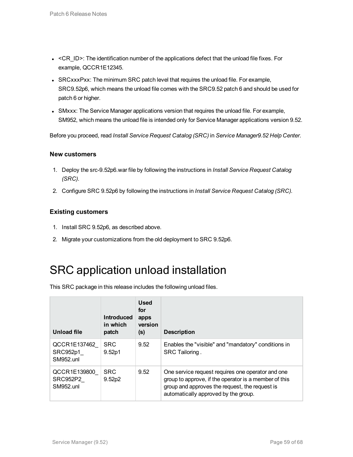- $\bullet$  <CR\_ID>: The identification number of the applications defect that the unload file fixes. For example, QCCR1E12345.
- SRCxxxPxx: The minimum SRC patch level that requires the unload file. For example, SRC9.52p6, which means the unload file comes with the SRC9.52 patch 6 and should be used for patch 6 or higher.
- SMxxx: The Service Manager applications version that requires the unload file. For example, SM952, which means the unload file is intended only for Service Manager applications version 9.52.

Before you proceed, read *Install Service Request Catalog (SRC)* in *Service Manager9.52 Help Center*.

#### **New customers**

- 1. Deploy the src-9.52p6.war file by following the instructions in *Install Service Request Catalog (SRC)*.
- 2. Configure SRC 9.52p6 by following the instructions in *Install Service Request Catalog (SRC)*.

#### **Existing customers**

- 1. Install SRC 9.52p6, as described above.
- <span id="page-58-0"></span>2. Migrate your customizations from the old deployment to SRC 9.52p6.

### SRC application unload installation

This SRC package in this release includes the following unload files.

| Unload file                                  | <b>Introduced</b><br>in which<br>patch | <b>Used</b><br>for<br>apps<br>version<br>(s) | <b>Description</b>                                                                                                                                                                                   |
|----------------------------------------------|----------------------------------------|----------------------------------------------|------------------------------------------------------------------------------------------------------------------------------------------------------------------------------------------------------|
| QCCR1E137462<br>SRC952p1<br><b>SM952.unl</b> | <b>SRC</b><br>9.52p1                   | 9.52                                         | Enables the "visible" and "mandatory" conditions in<br>SRC Tailoring.                                                                                                                                |
| QCCR1E139800<br>SRC952P2<br><b>SM952.unl</b> | <b>SRC</b><br>9.52 <sub>p2</sub>       | 9.52                                         | One service request requires one operator and one<br>group to approve, if the operator is a member of this<br>group and approves the request, the request is<br>automatically approved by the group. |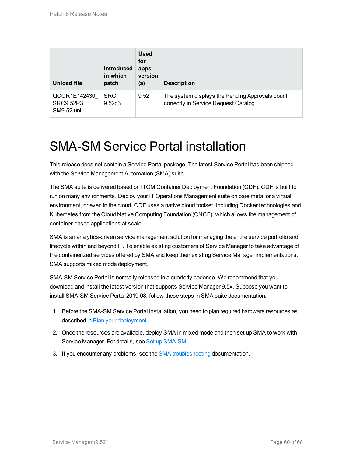| <b>Unload file</b>                      | <b>Introduced</b><br>in which<br>patch | <b>Used</b><br>for<br>apps<br>version<br>(s) | <b>Description</b>                                                                       |
|-----------------------------------------|----------------------------------------|----------------------------------------------|------------------------------------------------------------------------------------------|
| QCCR1E142430<br>SRC9.52P3<br>SM9.52.unl | <b>SRC</b><br>9.52 <sub>p3</sub>       | 9.52                                         | The system displays the Pending Approvals count<br>correctly in Service Request Catalog. |

### <span id="page-59-0"></span>SMA-SM Service Portal installation

This release does not contain a Service Portal package. The latest Service Portal has been shipped with the Service Management Automation (SMA) suite.

The SMA suite is delivered based on ITOM Container Deployment Foundation (CDF). CDF is built to run on many environments. Deploy your IT Operations Management suite on bare metal or a virtual environment, or even in the cloud. CDF uses a native cloud toolset, including Docker technologies and Kubernetes from the Cloud Native Computing Foundation (CNCF), which allows the management of container-based applications at scale.

SMA is an analytics-driven service management solution for managing the entire service portfolio and lifecycle within and beyond IT. To enable existing customers of Service Manager to take advantage of the containerized services offered by SMA and keep their existing Service Manager implementations, SMA supports mixed mode deployment.

SMA-SM Service Portal is normally released in a quarterly cadence. We recommend that you download and install the latest version that supports Service Manager 9.5x. Suppose you want to install SMA-SM Service Portal 2019.08, follow these steps in SMA suite documentation:

- 1. Before the SMA-SM Service Portal installation, you need to plan required hardware resources as described in Plan your [deployment](https://docs.microfocus.com/itom/Service_Management_Automation_-_SM:2019.08/PlanDeployment).
- 2. Once the resources are available, deploy SMA in mixed mode and then set up SMA to work with Service Manager. For details, see Set up [SMA-SM](https://docs.microfocus.com/itom/Service_Management_Automation_-_SM:2019.08/SetUpSMAClassicSM).
- 3. If you encounter any problems, see the SMA [troubleshooting](https://docs.microfocus.com/itom/Service_Management_Automation_-_SM:2019.08/Troubleshoot) documentation.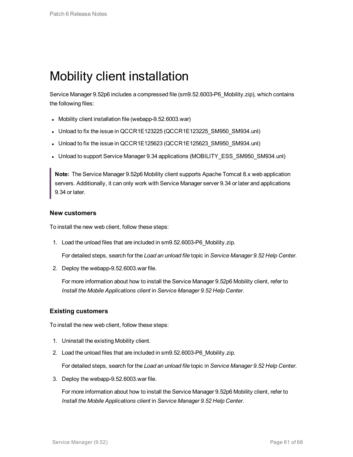### <span id="page-60-0"></span>Mobility client installation

Service Manager 9.52p6 includes a compressed file (sm9.52.6003-P6\_Mobility.zip), which contains the following files:

- Mobility client installation file (webapp-9.52.6003.war)
- Unload to fix the issue in QCCR1E123225 (QCCR1E123225\_SM950\_SM934.unl)
- Unload to fix the issue in QCCR1E125623 (QCCR1E125623\_SM950\_SM934.unl)
- Unload to support Service Manager 9.34 applications (MOBILITY\_ESS\_SM950\_SM934.unl)

**Note:** The Service Manager 9.52p6 Mobility client supports Apache Tomcat 8.x web application servers. Additionally, it can only work with Service Manager server 9.34 or later and applications 9.34 or later.

#### **New customers**

To install the new web client, follow these steps:

1. Load the unload files that are included in sm9.52.6003-P6\_Mobility.zip.

For detailed steps, search for the *Load an unload file* topic in *Service Manager 9.52 Help Center*.

2. Deploy the webapp-9.52.6003.war file.

For more information about how to install the Service Manager 9.52p6 Mobility client, refer to *Install the Mobile Applications client* in *Service Manager 9.52 Help Center*.

#### **Existing customers**

To install the new web client, follow these steps:

- 1. Uninstall the existing Mobility client.
- 2. Load the unload files that are included in sm9.52.6003-P6\_Mobility.zip.

For detailed steps, search for the *Load an unload file* topic in *Service Manager 9.52 Help Center*.

3. Deploy the webapp-9.52.6003.war file.

For more information about how to install the Service Manager 9.52p6 Mobility client, refer to *Install the Mobile Applications client* in *Service Manager 9.52 Help Center*.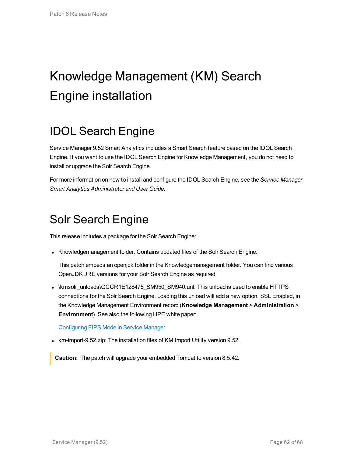# <span id="page-61-0"></span>Knowledge Management (KM) Search Engine installation

### <span id="page-61-1"></span>IDOL Search Engine

Service Manager 9.52 Smart Analytics includes a Smart Search feature based on the IDOL Search Engine. If you want to use the IDOL Search Engine for Knowledge Management, you do not need to install or upgrade the Solr Search Engine.

<span id="page-61-2"></span>For more information on how to install and configure the IDOL Search Engine, see the *Service Manager Smart Analytics Administrator and User Guide*.

### Solr Search Engine

This release includes a package for the Solr Search Engine:

• Knowledgemanagement folder: Contains updated files of the Solr Search Engine.

This patch embeds an openjdk folder in the Knowledgemanagement folder. You can find various OpenJDK JRE versions for your Solr Search Engine as required.

 $\bullet$  \kmsolr\_unloads\QCCR1E128475\_SM950\_SM940.unl: This unload is used to enable HTTPS connections for the Solr Search Engine. Loading this unload will add a new option, SSL Enabled, in the Knowledge Management Environment record (**Knowledge Management** > **Administration** > **Environment**). See also the following HPE white paper:

#### [Configuring](https://softwaresupport.softwaregrp.com/km/KM02119569) FIPS Mode in Service Manager

• km-import-9.52.zip: The installation files of KM Import Utility version 9.52.

**Caution:** The patch will upgrade your embedded Tomcat to version 8.5.42.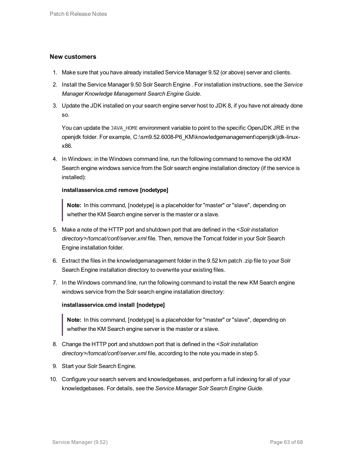#### **New customers**

- 1. Make sure that you have already installed Service Manager 9.52 (or above) server and clients.
- 2. Install the Service Manager 9.50 Solr Search Engine . For installation instructions, see the *Service Manager Knowledge Management Search Engine Guide*.
- 3. Update the JDK installed on your search engine server host to JDK 8, if you have not already done so.

You can update the JAVA HOME environment variable to point to the specific OpenJDK JRE in the openjdk folder. For example, C:\sm9.52.6008-P6\_KM\knowledgemanagement\openjdk\jdk-linuxx86.

4. In Windows: in the Windows command line, run the following command to remove the old KM Search engine windows service from the Solr search engine installation directory (if the service is installed):

#### **installasservice.cmd remove [nodetype]**

**Note:** In this command, [nodetype] is a placeholder for "master" or "slave", depending on whether the KM Search engine server is the master or a slave.

- 5. Make a note of the HTTP port and shutdown port that are defined in the *<Solr installation directory>/tomcat/conf/server.xml* file. Then, remove the Tomcat folder in your Solr Search Engine installation folder.
- 6. Extract the files in the knowledgemanagement folder in the 9.52 km patch .zip file to your Solr Search Engine installation directory to overwrite your existing files.
- 7. In the Windows command line, run the following command to install the new KM Search engine windows service from the Solr search engine installation directory:

#### **installasservice.cmd install [nodetype]**

**Note:** In this command, [nodetype] is a placeholder for "master" or "slave", depending on whether the KM Search engine server is the master or a slave.

- 8. Change the HTTP port and shutdown port that is defined in the *<Solr installation directory>/tomcat/conf/server.xml* file, according to the note you made in step 5.
- 9. Start your Solr Search Engine.
- 10. Configure your search servers and knowledgebases, and perform a full indexing for all of your knowledgebases. For details, see the *Service Manager Solr Search Engine Guide*.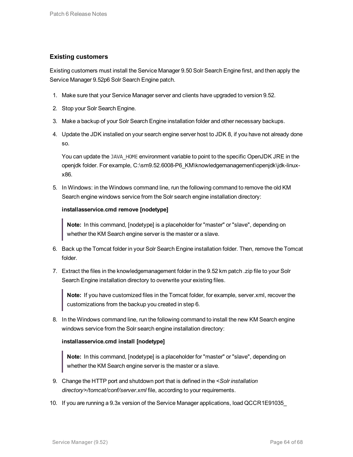#### **Existing customers**

Existing customers must install the Service Manager 9.50 Solr Search Engine first, and then apply the Service Manager 9.52p6 Solr Search Engine patch.

- 1. Make sure that your Service Manager server and clients have upgraded to version 9.52.
- 2. Stop your Solr Search Engine.
- 3. Make a backup of your Solr Search Engine installation folder and other necessary backups.
- 4. Update the JDK installed on your search engine server host to JDK 8, if you have not already done so.

You can update the JAVA HOME environment variable to point to the specific OpenJDK JRE in the openjdk folder. For example, C:\sm9.52.6008-P6\_KM\knowledgemanagement\openjdk\jdk-linuxx86.

5. In Windows: in the Windows command line, run the following command to remove the old KM Search engine windows service from the Solr search engine installation directory:

#### **installasservice.cmd remove [nodetype]**

**Note:** In this command, [nodetype] is a placeholder for "master" or "slave", depending on whether the KM Search engine server is the master or a slave.

- 6. Back up the Tomcat folder in your Solr Search Engine installation folder. Then, remove the Tomcat folder.
- 7. Extract the files in the knowledgemanagement folder in the 9.52 km patch .zip file to your Solr Search Engine installation directory to overwrite your existing files.

**Note:** If you have customized files in the Tomcat folder, for example, server.xml, recover the customizations from the backup you created in step 6.

8. In the Windows command line, run the following command to install the new KM Search engine windows service from the Solr search engine installation directory:

#### **installasservice.cmd install [nodetype]**

**Note:** In this command, [nodetype] is a placeholder for "master" or "slave", depending on whether the KM Search engine server is the master or a slave.

- 9. Change the HTTP port and shutdown port that is defined in the *<Solr installation directory>/tomcat/conf/server.xml* file, according to your requirements.
- 10. If you are running a 9.3x version of the Service Manager applications, load QCCR1E91035\_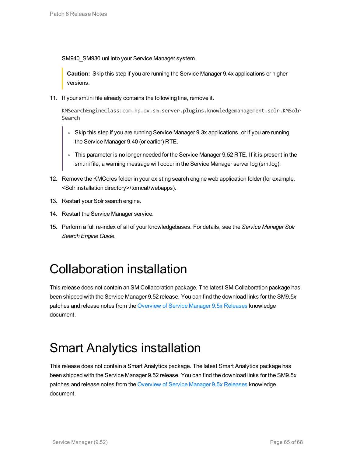SM940\_SM930.unl into your Service Manager system.

**Caution:** Skip this step if you are running the Service Manager 9.4x applications or higher versions.

11. If your sm.ini file already contains the following line, remove it.

KMSearchEngineClass:com.hp.ov.sm.server.plugins.knowledgemanagement.solr.KMSolr Search

- Skip this step if you are running Service Manager 9.3x applications, or if you are running the Service Manager 9.40 (or earlier) RTE.
- o This parameter is no longer needed for the Service Manager 9.52 RTE. If it is present in the sm.ini file, a warning message will occur in the Service Manager server log (sm.log).
- 12. Remove the KMCores folder in your existing search engine web application folder (for example, <Solr installation directory>/tomcat/webapps).
- 13. Restart your Solr search engine.
- 14. Restart the Service Manager service.
- <span id="page-64-0"></span>15. Perform a full re-index of all of your knowledgebases. For details, see the *Service Manager Solr Search Engine Guide*.

## Collaboration installation

This release does not contain an SM Collaboration package. The latest SM Collaboration package has been shipped with the Service Manager 9.52 release. You can find the download links for the SM9.5*x* patches and release notes from the Overview of Service Manager 9.5*x* [Releases](https://softwaresupport.softwaregrp.com/km/KM02688311) knowledge document.

## <span id="page-64-1"></span>Smart Analytics installation

This release does not contain a Smart Analytics package. The latest Smart Analytics package has been shipped with the Service Manager 9.52 release. You can find the download links for the SM9.5*x* patches and release notes from the Overview of Service Manager 9.5*x* [Releases](https://softwaresupport.softwaregrp.com/km/KM02688311) knowledge document.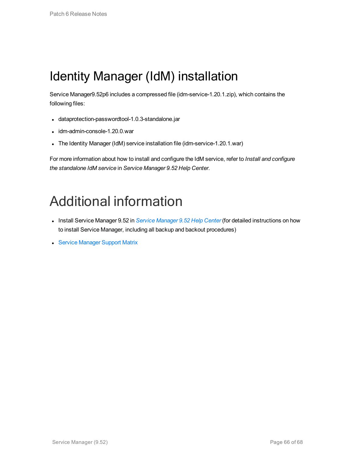## <span id="page-65-0"></span>Identity Manager (IdM) installation

Service Manager9.52p6 includes a compressed file (idm-service-1.20.1.zip), which contains the following files:

- dataprotection-passwordtool-1.0.3-standalone.jar
- $\bullet$  idm-admin-console-1.20.0.war
- The Identity Manager (IdM) service installation file (idm-service-1.20.1.war)

For more information about how to install and configure the IdM service, refer to *Install and configure the standalone IdM service* in *Service Manager 9.52 Help Center*.

# <span id="page-65-1"></span>Additional information

- <sup>l</sup> Install Service Manager 9.52 in *Service [Manager](https://softwaresupport.softwaregrp.com/doc/KM02773696) 9.52 Help Center* (for detailed instructions on how to install Service Manager, including all backup and backout procedures)
- Service [Manager](https://softwaresupport.softwaregrp.com/doc/KM02773661) Support Matrix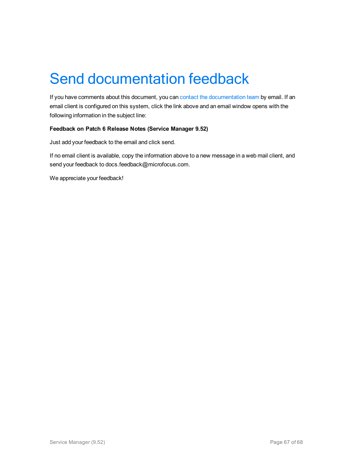# <span id="page-66-0"></span>Send documentation feedback

If you have comments about this document, you can contact the [documentation](mailto:docs.feedback@microfocus.com?subject=Feedback on Patch 6 Release Notes (Service Manager 9.52)) team by email. If an email client is configured on this system, click the link above and an email window opens with the following information in the subject line:

#### **Feedback on Patch 6 Release Notes (Service Manager 9.52)**

Just add your feedback to the email and click send.

If no email client is available, copy the information above to a new message in a web mail client, and send your feedback to docs.feedback@microfocus.com.

We appreciate your feedback!